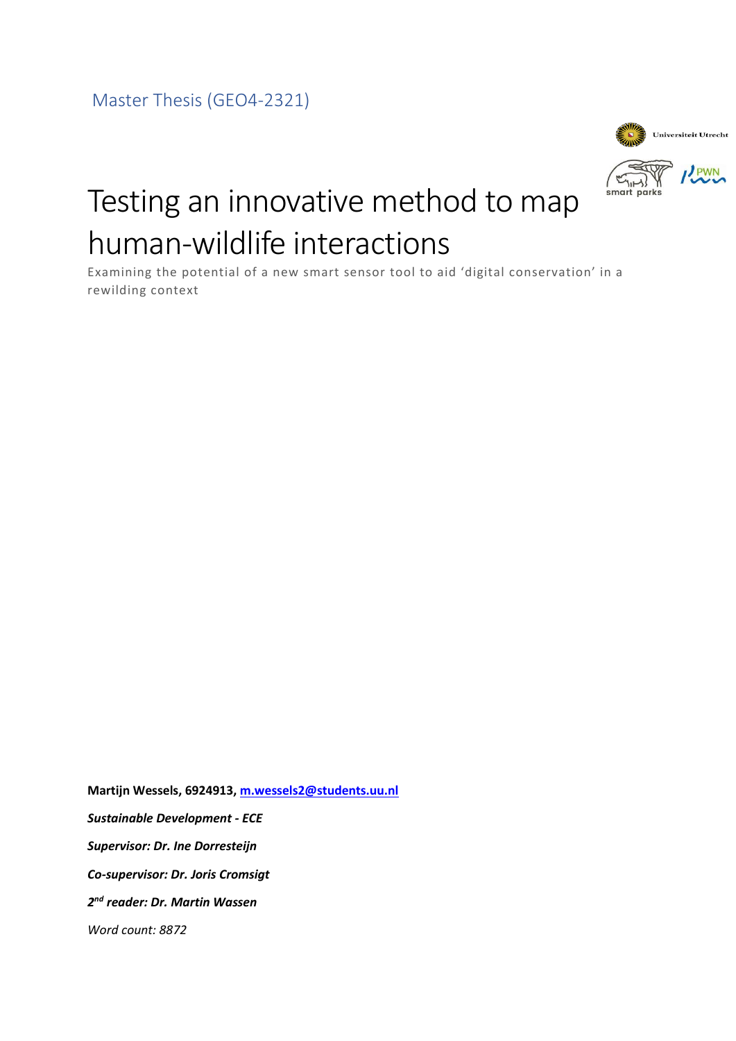<span id="page-0-0"></span>Master Thesis (GEO4-2321)



smart parks

# Testing an innovative method to map human-wildlife interactions

Examining the potential of a new smart sensor tool to aid 'digital conservation' in a rewilding context

**Martijn Wessels, 6924913, [m.wessels2@students.uu.nl](mailto:m.wessels2@students.uu.nl)** *Sustainable Development - ECE Supervisor: Dr. Ine Dorresteijn Co-supervisor: Dr. Joris Cromsigt 2 nd reader: Dr. Martin Wassen Word count: 8872*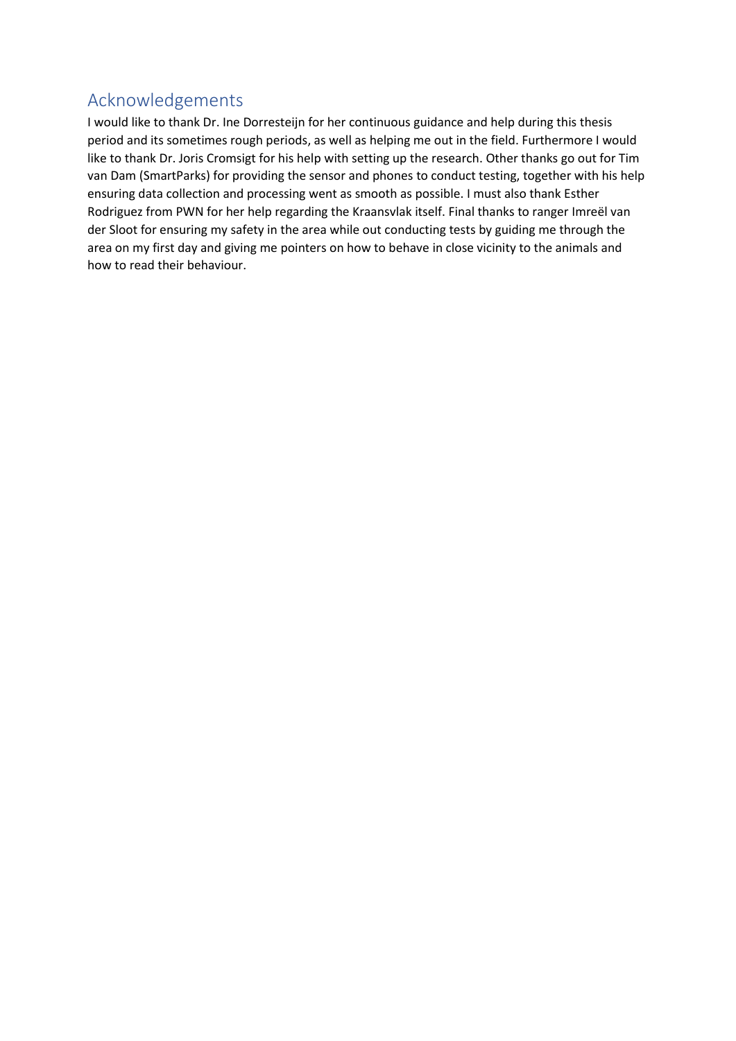# <span id="page-1-0"></span>Acknowledgements

I would like to thank Dr. Ine Dorresteijn for her continuous guidance and help during this thesis period and its sometimes rough periods, as well as helping me out in the field. Furthermore I would like to thank Dr. Joris Cromsigt for his help with setting up the research. Other thanks go out for Tim van Dam (SmartParks) for providing the sensor and phones to conduct testing, together with his help ensuring data collection and processing went as smooth as possible. I must also thank Esther Rodriguez from PWN for her help regarding the Kraansvlak itself. Final thanks to ranger Imreël van der Sloot for ensuring my safety in the area while out conducting tests by guiding me through the area on my first day and giving me pointers on how to behave in close vicinity to the animals and how to read their behaviour.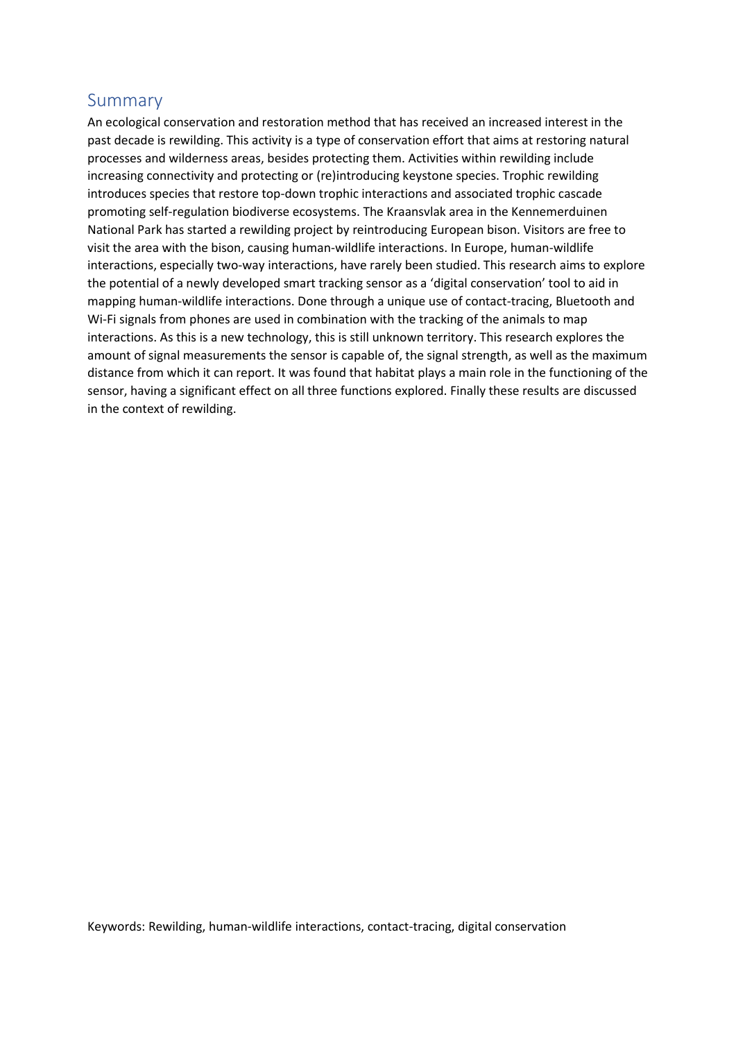# <span id="page-2-0"></span>Summary

An ecological conservation and restoration method that has received an increased interest in the past decade is rewilding. This activity is a type of conservation effort that aims at restoring natural processes and wilderness areas, besides protecting them. Activities within rewilding include increasing connectivity and protecting or (re)introducing keystone species. Trophic rewilding introduces species that restore top-down trophic interactions and associated trophic cascade promoting self-regulation biodiverse ecosystems. The Kraansvlak area in the Kennemerduinen National Park has started a rewilding project by reintroducing European bison. Visitors are free to visit the area with the bison, causing human-wildlife interactions. In Europe, human-wildlife interactions, especially two-way interactions, have rarely been studied. This research aims to explore the potential of a newly developed smart tracking sensor as a 'digital conservation' tool to aid in mapping human-wildlife interactions. Done through a unique use of contact-tracing, Bluetooth and Wi-Fi signals from phones are used in combination with the tracking of the animals to map interactions. As this is a new technology, this is still unknown territory. This research explores the amount of signal measurements the sensor is capable of, the signal strength, as well as the maximum distance from which it can report. It was found that habitat plays a main role in the functioning of the sensor, having a significant effect on all three functions explored. Finally these results are discussed in the context of rewilding.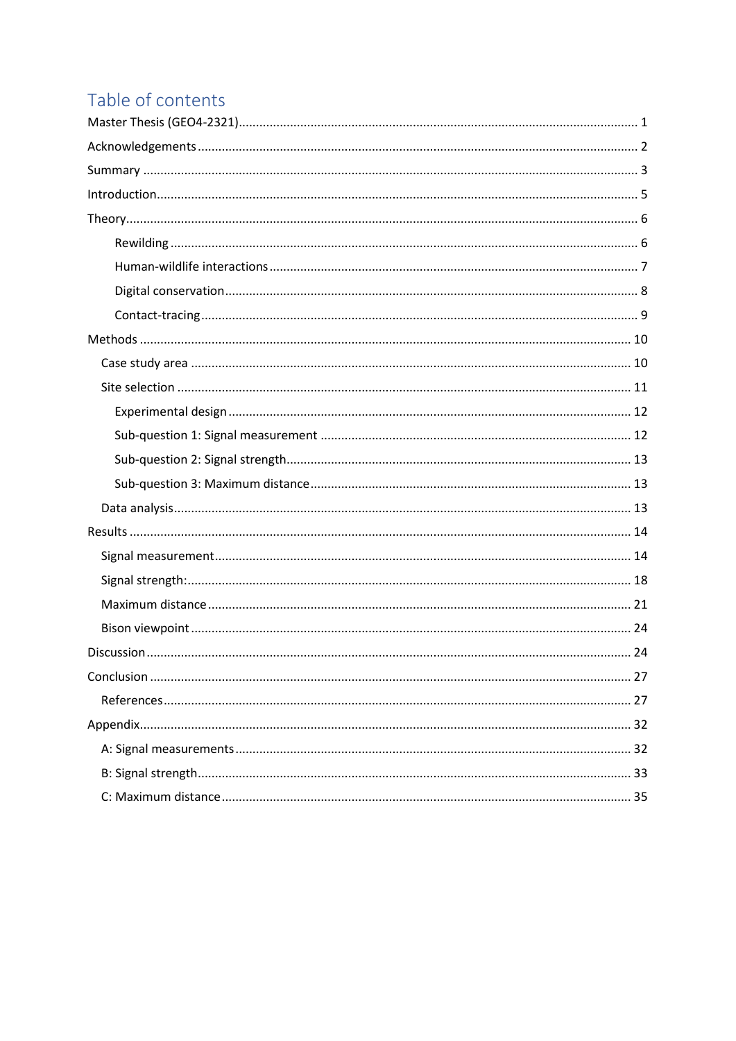# Table of contents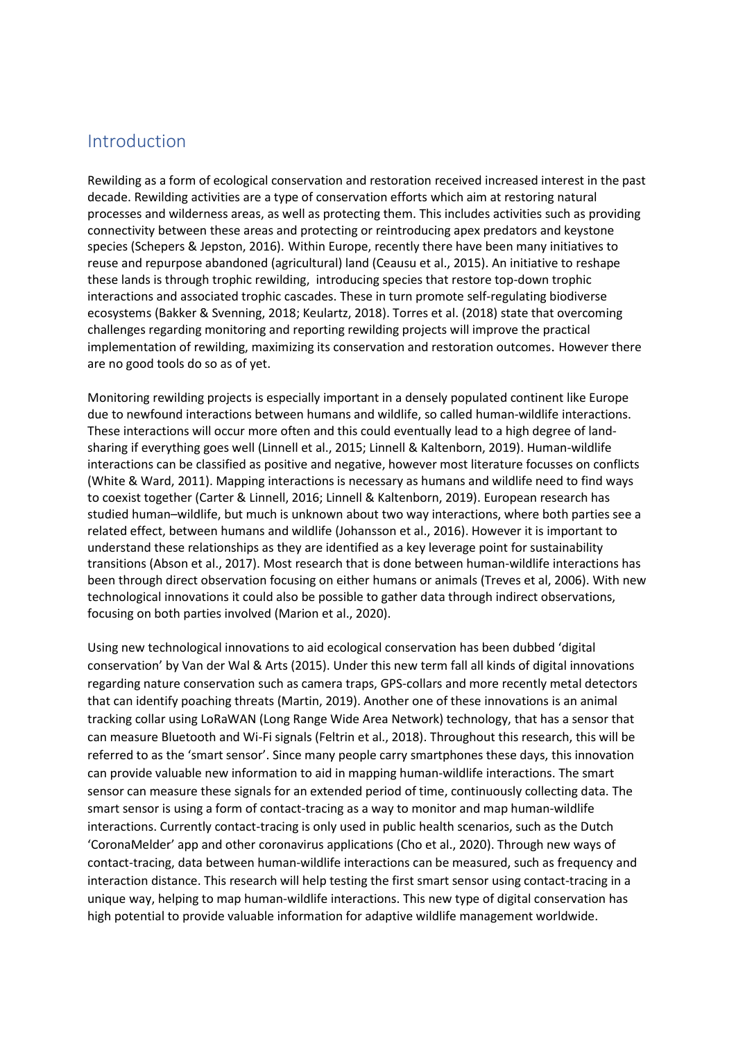# <span id="page-4-0"></span>Introduction

Rewilding as a form of ecological conservation and restoration received increased interest in the past decade. Rewilding activities are a type of conservation efforts which aim at restoring natural processes and wilderness areas, as well as protecting them. This includes activities such as providing connectivity between these areas and protecting or reintroducing apex predators and keystone species (Schepers & Jepston, 2016). Within Europe, recently there have been many initiatives to reuse and repurpose abandoned (agricultural) land (Ceausu et al., 2015). An initiative to reshape these lands is through trophic rewilding, introducing species that restore top-down trophic interactions and associated trophic cascades. These in turn promote self-regulating biodiverse ecosystems (Bakker & Svenning, 2018; Keulartz, 2018). Torres et al. (2018) state that overcoming challenges regarding monitoring and reporting rewilding projects will improve the practical implementation of rewilding, maximizing its conservation and restoration outcomes. However there are no good tools do so as of yet.

Monitoring rewilding projects is especially important in a densely populated continent like Europe due to newfound interactions between humans and wildlife, so called human-wildlife interactions. These interactions will occur more often and this could eventually lead to a high degree of landsharing if everything goes well (Linnell et al., 2015; Linnell & Kaltenborn, 2019). Human-wildlife interactions can be classified as positive and negative, however most literature focusses on conflicts (White & Ward, 2011). Mapping interactions is necessary as humans and wildlife need to find ways to coexist together (Carter & Linnell, 2016; Linnell & Kaltenborn, 2019). European research has studied human–wildlife, but much is unknown about two way interactions, where both parties see a related effect, between humans and wildlife (Johansson et al., 2016). However it is important to understand these relationships as they are identified as a key leverage point for sustainability transitions (Abson et al., 2017). Most research that is done between human-wildlife interactions has been through direct observation focusing on either humans or animals (Treves et al, 2006). With new technological innovations it could also be possible to gather data through indirect observations, focusing on both parties involved (Marion et al., 2020).

Using new technological innovations to aid ecological conservation has been dubbed 'digital conservation' by Van der Wal & Arts (2015). Under this new term fall all kinds of digital innovations regarding nature conservation such as camera traps, GPS-collars and more recently metal detectors that can identify poaching threats (Martin, 2019). Another one of these innovations is an animal tracking collar using LoRaWAN (Long Range Wide Area Network) technology, that has a sensor that can measure Bluetooth and Wi-Fi signals (Feltrin et al., 2018). Throughout this research, this will be referred to as the 'smart sensor'. Since many people carry smartphones these days, this innovation can provide valuable new information to aid in mapping human-wildlife interactions. The smart sensor can measure these signals for an extended period of time, continuously collecting data. The smart sensor is using a form of contact-tracing as a way to monitor and map human-wildlife interactions. Currently contact-tracing is only used in public health scenarios, such as the Dutch 'CoronaMelder' app and other coronavirus applications (Cho et al., 2020). Through new ways of contact-tracing, data between human-wildlife interactions can be measured, such as frequency and interaction distance. This research will help testing the first smart sensor using contact-tracing in a unique way, helping to map human-wildlife interactions. This new type of digital conservation has high potential to provide valuable information for adaptive wildlife management worldwide.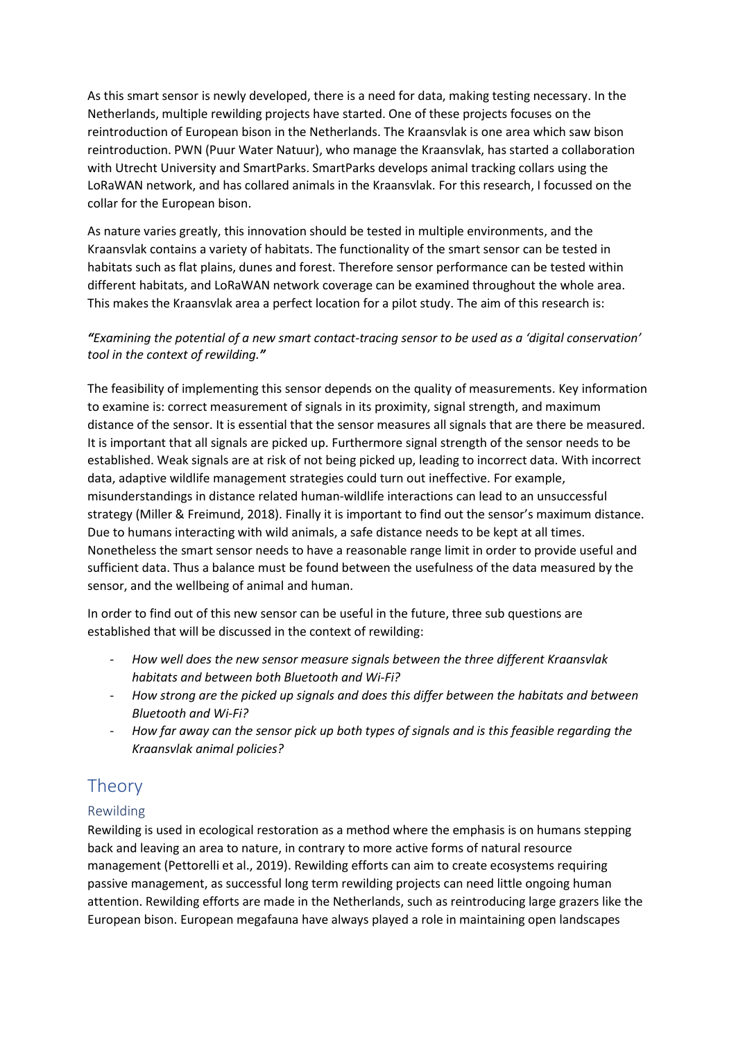As this smart sensor is newly developed, there is a need for data, making testing necessary. In the Netherlands, multiple rewilding projects have started. One of these projects focuses on the reintroduction of European bison in the Netherlands. The Kraansvlak is one area which saw bison reintroduction. PWN (Puur Water Natuur), who manage the Kraansvlak, has started a collaboration with Utrecht University and SmartParks. SmartParks develops animal tracking collars using the LoRaWAN network, and has collared animals in the Kraansvlak. For this research, I focussed on the collar for the European bison.

As nature varies greatly, this innovation should be tested in multiple environments, and the Kraansvlak contains a variety of habitats. The functionality of the smart sensor can be tested in habitats such as flat plains, dunes and forest. Therefore sensor performance can be tested within different habitats, and LoRaWAN network coverage can be examined throughout the whole area. This makes the Kraansvlak area a perfect location for a pilot study. The aim of this research is:

#### *"Examining the potential of a new smart contact-tracing sensor to be used as a 'digital conservation' tool in the context of rewilding."*

The feasibility of implementing this sensor depends on the quality of measurements. Key information to examine is: correct measurement of signals in its proximity, signal strength, and maximum distance of the sensor. It is essential that the sensor measures all signals that are there be measured. It is important that all signals are picked up. Furthermore signal strength of the sensor needs to be established. Weak signals are at risk of not being picked up, leading to incorrect data. With incorrect data, adaptive wildlife management strategies could turn out ineffective. For example, misunderstandings in distance related human-wildlife interactions can lead to an unsuccessful strategy (Miller & Freimund, 2018). Finally it is important to find out the sensor's maximum distance. Due to humans interacting with wild animals, a safe distance needs to be kept at all times. Nonetheless the smart sensor needs to have a reasonable range limit in order to provide useful and sufficient data. Thus a balance must be found between the usefulness of the data measured by the sensor, and the wellbeing of animal and human.

In order to find out of this new sensor can be useful in the future, three sub questions are established that will be discussed in the context of rewilding:

- *How well does the new sensor measure signals between the three different Kraansvlak habitats and between both Bluetooth and Wi-Fi?*
- *How strong are the picked up signals and does this differ between the habitats and between Bluetooth and Wi-Fi?*
- *How far away can the sensor pick up both types of signals and is this feasible regarding the Kraansvlak animal policies?*

# <span id="page-5-0"></span>**Theory**

### <span id="page-5-1"></span>Rewilding

Rewilding is used in ecological restoration as a method where the emphasis is on humans stepping back and leaving an area to nature, in contrary to more active forms of natural resource management (Pettorelli et al., 2019). Rewilding efforts can aim to create ecosystems requiring passive management, as successful long term rewilding projects can need little ongoing human attention. Rewilding efforts are made in the Netherlands, such as reintroducing large grazers like the European bison. European megafauna have always played a role in maintaining open landscapes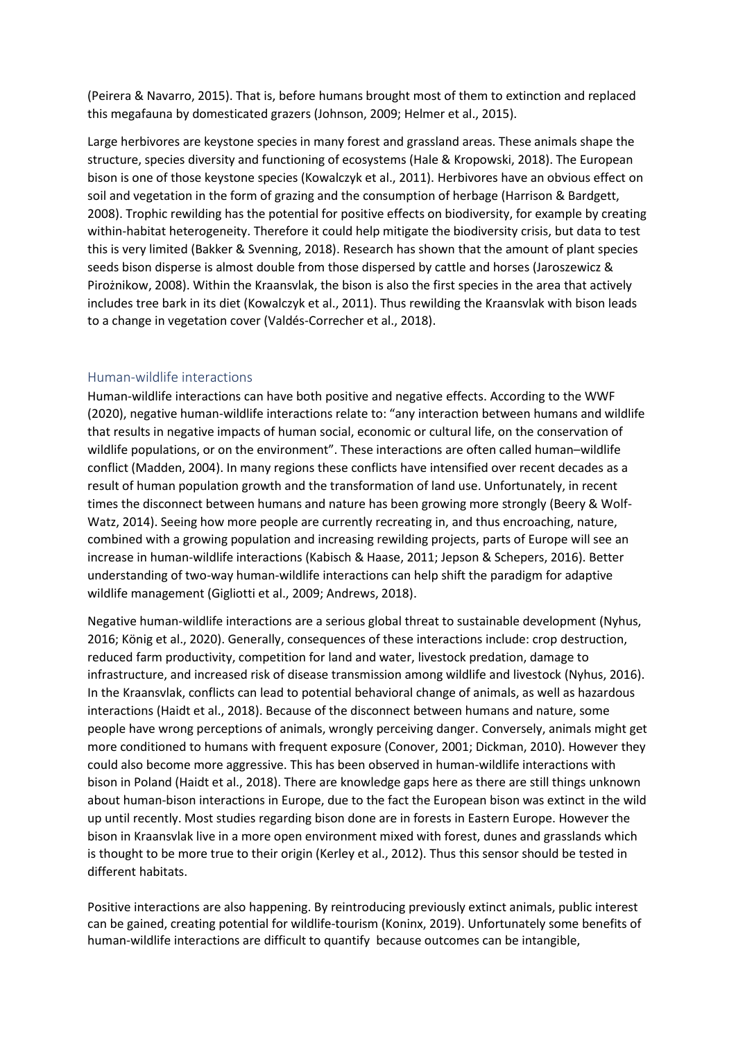(Peirera & Navarro, 2015). That is, before humans brought most of them to extinction and replaced this megafauna by domesticated grazers (Johnson, 2009; Helmer et al., 2015).

Large herbivores are keystone species in many forest and grassland areas. These animals shape the structure, species diversity and functioning of ecosystems (Hale & Kropowski, 2018). The European bison is one of those keystone species (Kowalczyk et al., 2011). Herbivores have an obvious effect on soil and vegetation in the form of grazing and the consumption of herbage (Harrison & Bardgett, 2008). Trophic rewilding has the potential for positive effects on biodiversity, for example by creating within-habitat heterogeneity. Therefore it could help mitigate the biodiversity crisis, but data to test this is very limited (Bakker & Svenning, 2018). Research has shown that the amount of plant species seeds bison disperse is almost double from those dispersed by cattle and horses (Jaroszewicz & Pirożnikow, 2008). Within the Kraansvlak, the bison is also the first species in the area that actively includes tree bark in its diet (Kowalczyk et al., 2011). Thus rewilding the Kraansvlak with bison leads to a change in vegetation cover (Valdés-Correcher et al., 2018).

#### <span id="page-6-0"></span>Human-wildlife interactions

Human-wildlife interactions can have both positive and negative effects. According to the WWF (2020), negative human-wildlife interactions relate to: "any interaction between humans and wildlife that results in negative impacts of human social, economic or cultural life, on the conservation of wildlife populations, or on the environment". These interactions are often called human–wildlife conflict (Madden, 2004). In many regions these conflicts have intensified over recent decades as a result of human population growth and the transformation of land use. Unfortunately, in recent times the disconnect between humans and nature has been growing more strongly (Beery & Wolf-Watz, 2014). Seeing how more people are currently recreating in, and thus encroaching, nature, combined with a growing population and increasing rewilding projects, parts of Europe will see an increase in human-wildlife interactions (Kabisch & Haase, 2011; Jepson & Schepers, 2016). Better understanding of two-way human-wildlife interactions can help shift the paradigm for adaptive wildlife management (Gigliotti et al., 2009; Andrews, 2018).

Negative human-wildlife interactions are a serious global threat to sustainable development (Nyhus, 2016; König et al., 2020). Generally, consequences of these interactions include: crop destruction, reduced farm productivity, competition for land and water, livestock predation, damage to infrastructure, and increased risk of disease transmission among wildlife and livestock (Nyhus, 2016). In the Kraansvlak, conflicts can lead to potential behavioral change of animals, as well as hazardous interactions (Haidt et al., 2018). Because of the disconnect between humans and nature, some people have wrong perceptions of animals, wrongly perceiving danger. Conversely, animals might get more conditioned to humans with frequent exposure (Conover, 2001; Dickman, 2010). However they could also become more aggressive. This has been observed in human-wildlife interactions with bison in Poland (Haidt et al., 2018). There are knowledge gaps here as there are still things unknown about human-bison interactions in Europe, due to the fact the European bison was extinct in the wild up until recently. Most studies regarding bison done are in forests in Eastern Europe. However the bison in Kraansvlak live in a more open environment mixed with forest, dunes and grasslands which is thought to be more true to their origin (Kerley et al., 2012). Thus this sensor should be tested in different habitats.

Positive interactions are also happening. By reintroducing previously extinct animals, public interest can be gained, creating potential for wildlife-tourism (Koninx, 2019). Unfortunately some benefits of human-wildlife interactions are difficult to quantify because outcomes can be intangible,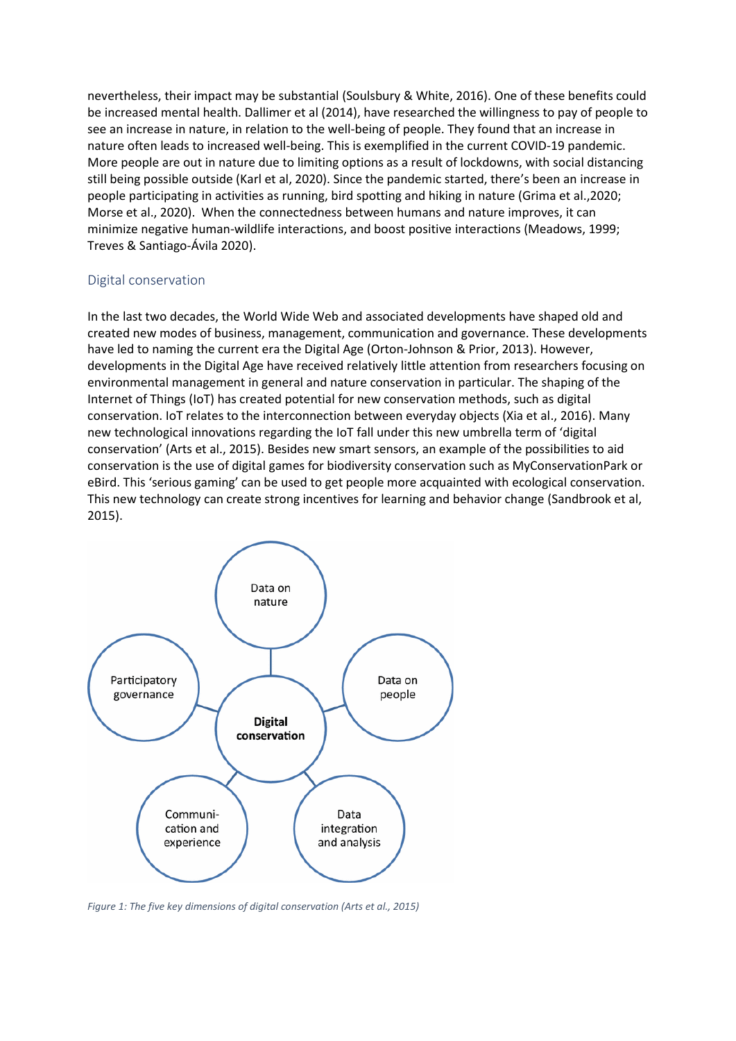nevertheless, their impact may be substantial (Soulsbury & White, 2016). One of these benefits could be increased mental health. Dallimer et al (2014), have researched the willingness to pay of people to see an increase in nature, in relation to the well-being of people. They found that an increase in nature often leads to increased well-being. This is exemplified in the current COVID-19 pandemic. More people are out in nature due to limiting options as a result of lockdowns, with social distancing still being possible outside (Karl et al, 2020). Since the pandemic started, there's been an increase in people participating in activities as running, bird spotting and hiking in nature (Grima et al.,2020; Morse et al., 2020). When the connectedness between humans and nature improves, it can minimize negative human-wildlife interactions, and boost positive interactions (Meadows, 1999; Treves & Santiago‐Ávila 2020).

#### <span id="page-7-0"></span>Digital conservation

In the last two decades, the World Wide Web and associated developments have shaped old and created new modes of business, management, communication and governance. These developments have led to naming the current era the Digital Age (Orton-Johnson & Prior, 2013). However, developments in the Digital Age have received relatively little attention from researchers focusing on environmental management in general and nature conservation in particular. The shaping of the Internet of Things (IoT) has created potential for new conservation methods, such as digital conservation. IoT relates to the interconnection between everyday objects (Xia et al., 2016). Many new technological innovations regarding the IoT fall under this new umbrella term of 'digital conservation' (Arts et al., 2015). Besides new smart sensors, an example of the possibilities to aid conservation is the use of digital games for biodiversity conservation such as MyConservationPark or eBird. This 'serious gaming' can be used to get people more acquainted with ecological conservation. This new technology can create strong incentives for learning and behavior change (Sandbrook et al, 2015).



*Figure 1: The five key dimensions of digital conservation (Arts et al., 2015)*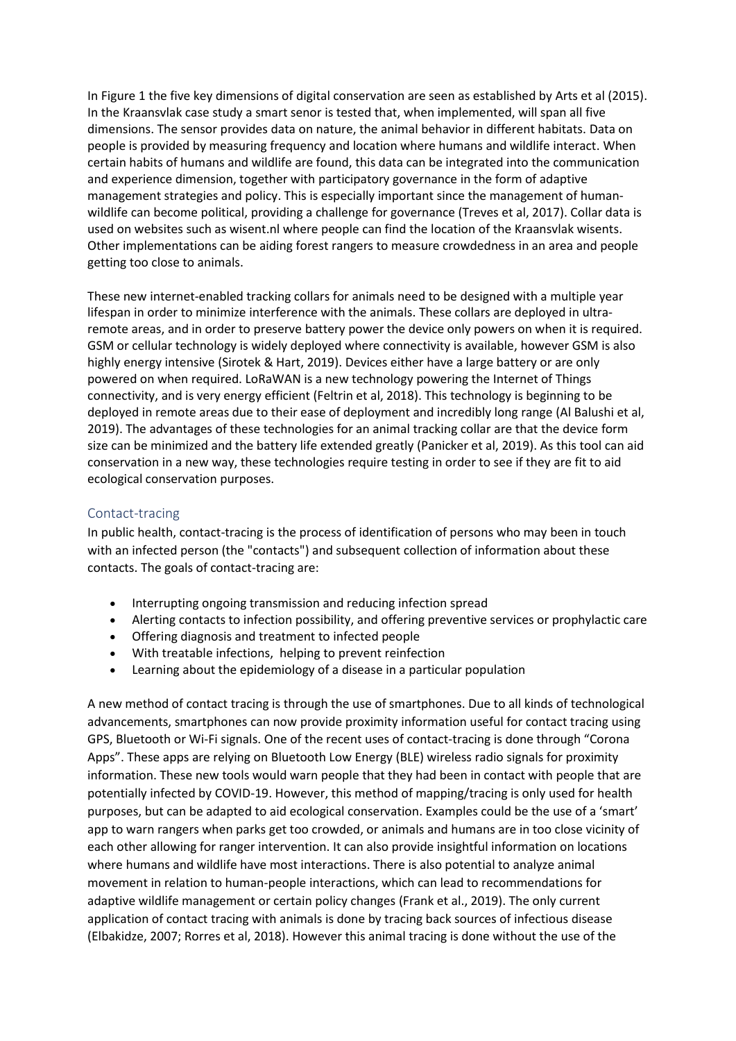In Figure 1 the five key dimensions of digital conservation are seen as established by Arts et al (2015). In the Kraansvlak case study a smart senor is tested that, when implemented, will span all five dimensions. The sensor provides data on nature, the animal behavior in different habitats. Data on people is provided by measuring frequency and location where humans and wildlife interact. When certain habits of humans and wildlife are found, this data can be integrated into the communication and experience dimension, together with participatory governance in the form of adaptive management strategies and policy. This is especially important since the management of humanwildlife can become political, providing a challenge for governance (Treves et al, 2017). Collar data is used on websites such as wisent.nl where people can find the location of the Kraansvlak wisents. Other implementations can be aiding forest rangers to measure crowdedness in an area and people getting too close to animals.

These new internet-enabled tracking collars for animals need to be designed with a multiple year lifespan in order to minimize interference with the animals. These collars are deployed in ultraremote areas, and in order to preserve battery power the device only powers on when it is required. GSM or cellular technology is widely deployed where connectivity is available, however GSM is also highly energy intensive (Sirotek & Hart, 2019). Devices either have a large battery or are only powered on when required. LoRaWAN is a new technology powering the Internet of Things connectivity, and is very energy efficient (Feltrin et al, 2018). This technology is beginning to be deployed in remote areas due to their ease of deployment and incredibly long range (Al Balushi et al, 2019). The advantages of these technologies for an animal tracking collar are that the device form size can be minimized and the battery life extended greatly (Panicker et al, 2019). As this tool can aid conservation in a new way, these technologies require testing in order to see if they are fit to aid ecological conservation purposes.

#### <span id="page-8-0"></span>Contact-tracing

In public health, contact-tracing is the process of identification of persons who may been in touch with an infected person (the "contacts") and subsequent collection of information about these contacts. The goals of contact-tracing are:

- Interrupting ongoing transmission and reducing infection spread
- Alerting contacts to infection possibility, and offering preventive services or prophylactic care
- Offering diagnosis and treatment to infected people
- With treatable infections, helping to prevent reinfection
- Learning about the epidemiology of a disease in a particular population

A new method of contact tracing is through the use of smartphones. Due to all kinds of technological advancements, smartphones can now provide proximity information useful for contact tracing using GPS, Bluetooth or Wi-Fi signals. One of the recent uses of contact-tracing is done through "Corona Apps". These apps are relying on Bluetooth Low Energy (BLE) wireless radio signals for proximity information. These new tools would warn people that they had been in contact with people that are potentially infected by COVID-19. However, this method of mapping/tracing is only used for health purposes, but can be adapted to aid ecological conservation. Examples could be the use of a 'smart' app to warn rangers when parks get too crowded, or animals and humans are in too close vicinity of each other allowing for ranger intervention. It can also provide insightful information on locations where humans and wildlife have most interactions. There is also potential to analyze animal movement in relation to human-people interactions, which can lead to recommendations for adaptive wildlife management or certain policy changes (Frank et al., 2019). The only current application of contact tracing with animals is done by tracing back sources of infectious disease (Elbakidze, 2007; Rorres et al, 2018). However this animal tracing is done without the use of the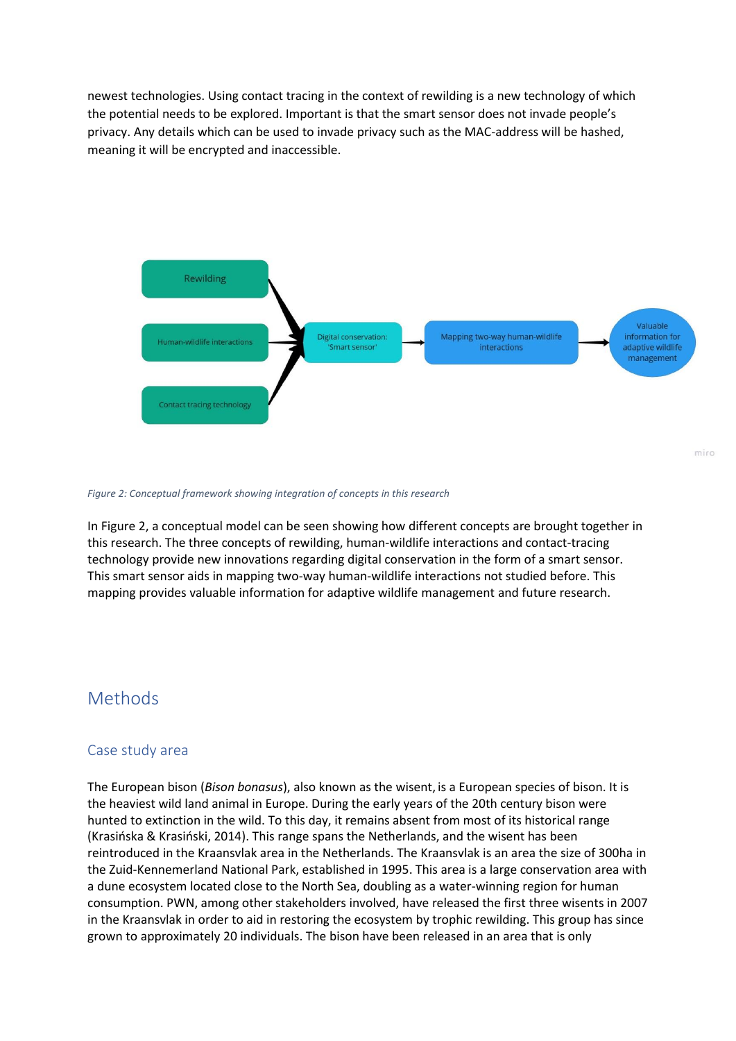newest technologies. Using contact tracing in the context of rewilding is a new technology of which the potential needs to be explored. Important is that the smart sensor does not invade people's privacy. Any details which can be used to invade privacy such as the MAC-address will be hashed, meaning it will be encrypted and inaccessible.



#### *Figure 2: Conceptual framework showing integration of concepts in this research*

In Figure 2, a conceptual model can be seen showing how different concepts are brought together in this research. The three concepts of rewilding, human-wildlife interactions and contact-tracing technology provide new innovations regarding digital conservation in the form of a smart sensor. This smart sensor aids in mapping two-way human-wildlife interactions not studied before. This mapping provides valuable information for adaptive wildlife management and future research.

### <span id="page-9-0"></span>Methods

#### <span id="page-9-1"></span>Case study area

The European bison (*Bison bonasus*), also known as the wisent, is a European species of bison. It is the heaviest wild land animal in Europe. During the early years of the 20th century bison were hunted to extinction in the wild. To this day, it remains absent from most of its historical range (Krasińska & Krasiński, 2014). This range spans the Netherlands, and the wisent has been reintroduced in the Kraansvlak area in the Netherlands. The Kraansvlak is an area the size of 300ha in the Zuid-Kennemerland National Park, established in 1995. This area is a large conservation area with a dune ecosystem located close to the North Sea, doubling as a water-winning region for human consumption. PWN, among other stakeholders involved, have released the first three wisents in 2007 in the Kraansvlak in order to aid in restoring the ecosystem by trophic rewilding. This group has since grown to approximately 20 individuals. The bison have been released in an area that is only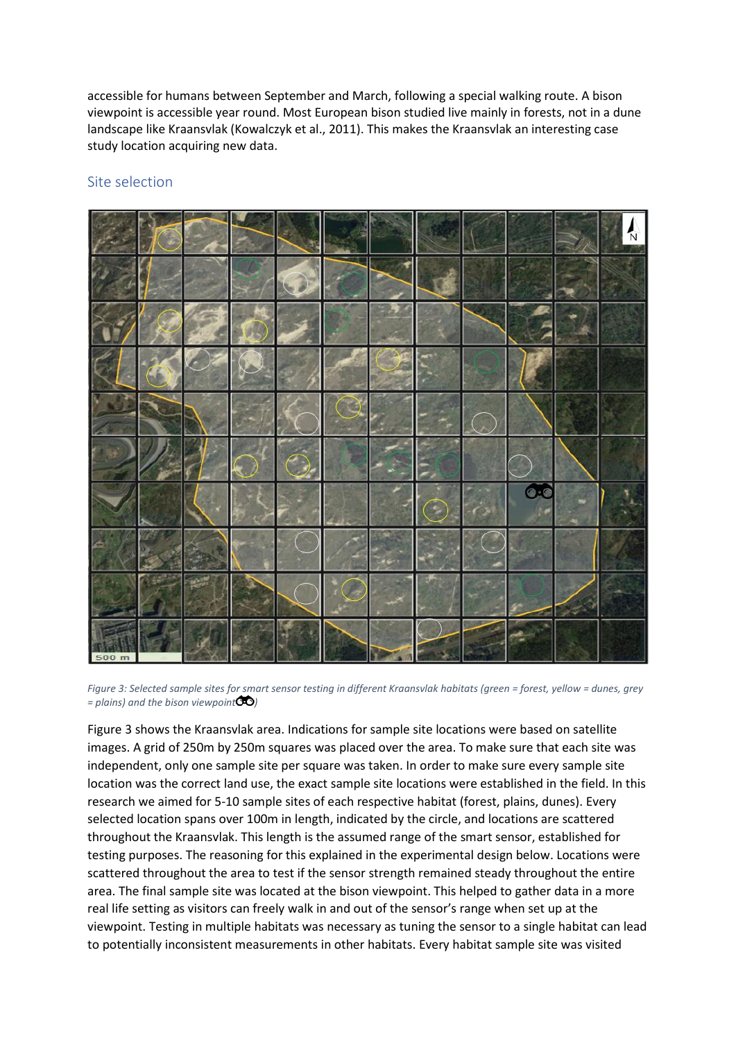accessible for humans between September and March, following a special walking route. A bison viewpoint is accessible year round. Most European bison studied live mainly in forests, not in a dune landscape like Kraansvlak (Kowalczyk et al., 2011). This makes the Kraansvlak an interesting case study location acquiring new data.

#### <span id="page-10-0"></span>Site selection



*Figure 3: Selected sample sites for smart sensor testing in different Kraansvlak habitats (green = forest, yellow = dunes, grey = plains) and the bison viewpoint )*

Figure 3 shows the Kraansvlak area. Indications for sample site locations were based on satellite images. A grid of 250m by 250m squares was placed over the area. To make sure that each site was independent, only one sample site per square was taken. In order to make sure every sample site location was the correct land use, the exact sample site locations were established in the field. In this research we aimed for 5-10 sample sites of each respective habitat (forest, plains, dunes). Every selected location spans over 100m in length, indicated by the circle, and locations are scattered throughout the Kraansvlak. This length is the assumed range of the smart sensor, established for testing purposes. The reasoning for this explained in the experimental design below. Locations were scattered throughout the area to test if the sensor strength remained steady throughout the entire area. The final sample site was located at the bison viewpoint. This helped to gather data in a more real life setting as visitors can freely walk in and out of the sensor's range when set up at the viewpoint. Testing in multiple habitats was necessary as tuning the sensor to a single habitat can lead to potentially inconsistent measurements in other habitats. Every habitat sample site was visited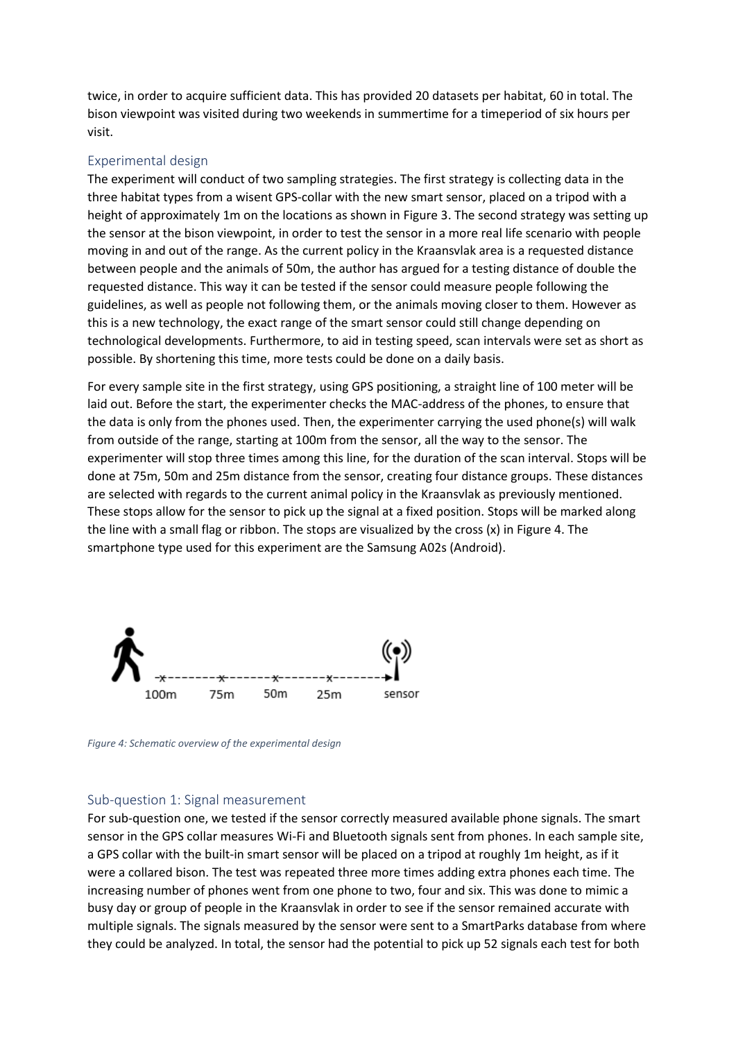twice, in order to acquire sufficient data. This has provided 20 datasets per habitat, 60 in total. The bison viewpoint was visited during two weekends in summertime for a timeperiod of six hours per visit.

#### <span id="page-11-0"></span>Experimental design

The experiment will conduct of two sampling strategies. The first strategy is collecting data in the three habitat types from a wisent GPS-collar with the new smart sensor, placed on a tripod with a height of approximately 1m on the locations as shown in Figure 3. The second strategy was setting up the sensor at the bison viewpoint, in order to test the sensor in a more real life scenario with people moving in and out of the range. As the current policy in the Kraansvlak area is a requested distance between people and the animals of 50m, the author has argued for a testing distance of double the requested distance. This way it can be tested if the sensor could measure people following the guidelines, as well as people not following them, or the animals moving closer to them. However as this is a new technology, the exact range of the smart sensor could still change depending on technological developments. Furthermore, to aid in testing speed, scan intervals were set as short as possible. By shortening this time, more tests could be done on a daily basis.

For every sample site in the first strategy, using GPS positioning, a straight line of 100 meter will be laid out. Before the start, the experimenter checks the MAC-address of the phones, to ensure that the data is only from the phones used. Then, the experimenter carrying the used phone(s) will walk from outside of the range, starting at 100m from the sensor, all the way to the sensor. The experimenter will stop three times among this line, for the duration of the scan interval. Stops will be done at 75m, 50m and 25m distance from the sensor, creating four distance groups. These distances are selected with regards to the current animal policy in the Kraansvlak as previously mentioned. These stops allow for the sensor to pick up the signal at a fixed position. Stops will be marked along the line with a small flag or ribbon. The stops are visualized by the cross (x) in Figure 4. The smartphone type used for this experiment are the Samsung A02s (Android).



*Figure 4: Schematic overview of the experimental design*

#### <span id="page-11-1"></span>Sub-question 1: Signal measurement

For sub-question one, we tested if the sensor correctly measured available phone signals. The smart sensor in the GPS collar measures Wi-Fi and Bluetooth signals sent from phones. In each sample site, a GPS collar with the built-in smart sensor will be placed on a tripod at roughly 1m height, as if it were a collared bison. The test was repeated three more times adding extra phones each time. The increasing number of phones went from one phone to two, four and six. This was done to mimic a busy day or group of people in the Kraansvlak in order to see if the sensor remained accurate with multiple signals. The signals measured by the sensor were sent to a SmartParks database from where they could be analyzed. In total, the sensor had the potential to pick up 52 signals each test for both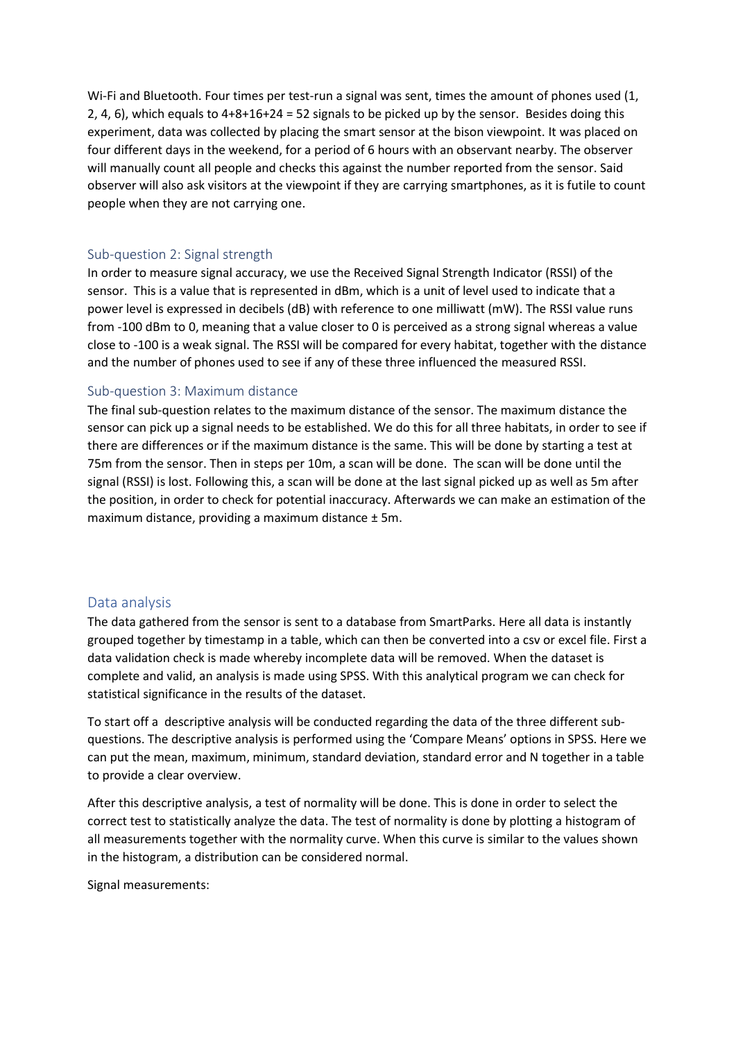Wi-Fi and Bluetooth. Four times per test-run a signal was sent, times the amount of phones used (1, 2, 4, 6), which equals to 4+8+16+24 = 52 signals to be picked up by the sensor. Besides doing this experiment, data was collected by placing the smart sensor at the bison viewpoint. It was placed on four different days in the weekend, for a period of 6 hours with an observant nearby. The observer will manually count all people and checks this against the number reported from the sensor. Said observer will also ask visitors at the viewpoint if they are carrying smartphones, as it is futile to count people when they are not carrying one.

#### <span id="page-12-0"></span>Sub-question 2: Signal strength

In order to measure signal accuracy, we use the Received Signal Strength Indicator (RSSI) of the sensor. This is a value that is represented in dBm, which is a unit of level used to indicate that a power level is expressed in decibels (dB) with reference to one milliwatt (mW). The RSSI value runs from -100 dBm to 0, meaning that a value closer to 0 is perceived as a strong signal whereas a value close to -100 is a weak signal. The RSSI will be compared for every habitat, together with the distance and the number of phones used to see if any of these three influenced the measured RSSI.

#### <span id="page-12-1"></span>Sub-question 3: Maximum distance

The final sub-question relates to the maximum distance of the sensor. The maximum distance the sensor can pick up a signal needs to be established. We do this for all three habitats, in order to see if there are differences or if the maximum distance is the same. This will be done by starting a test at 75m from the sensor. Then in steps per 10m, a scan will be done. The scan will be done until the signal (RSSI) is lost. Following this, a scan will be done at the last signal picked up as well as 5m after the position, in order to check for potential inaccuracy. Afterwards we can make an estimation of the maximum distance, providing a maximum distance ± 5m.

#### <span id="page-12-2"></span>Data analysis

The data gathered from the sensor is sent to a database from SmartParks. Here all data is instantly grouped together by timestamp in a table, which can then be converted into a csv or excel file. First a data validation check is made whereby incomplete data will be removed. When the dataset is complete and valid, an analysis is made using SPSS. With this analytical program we can check for statistical significance in the results of the dataset.

To start off a descriptive analysis will be conducted regarding the data of the three different subquestions. The descriptive analysis is performed using the 'Compare Means' options in SPSS. Here we can put the mean, maximum, minimum, standard deviation, standard error and N together in a table to provide a clear overview.

After this descriptive analysis, a test of normality will be done. This is done in order to select the correct test to statistically analyze the data. The test of normality is done by plotting a histogram of all measurements together with the normality curve. When this curve is similar to the values shown in the histogram, a distribution can be considered normal.

Signal measurements: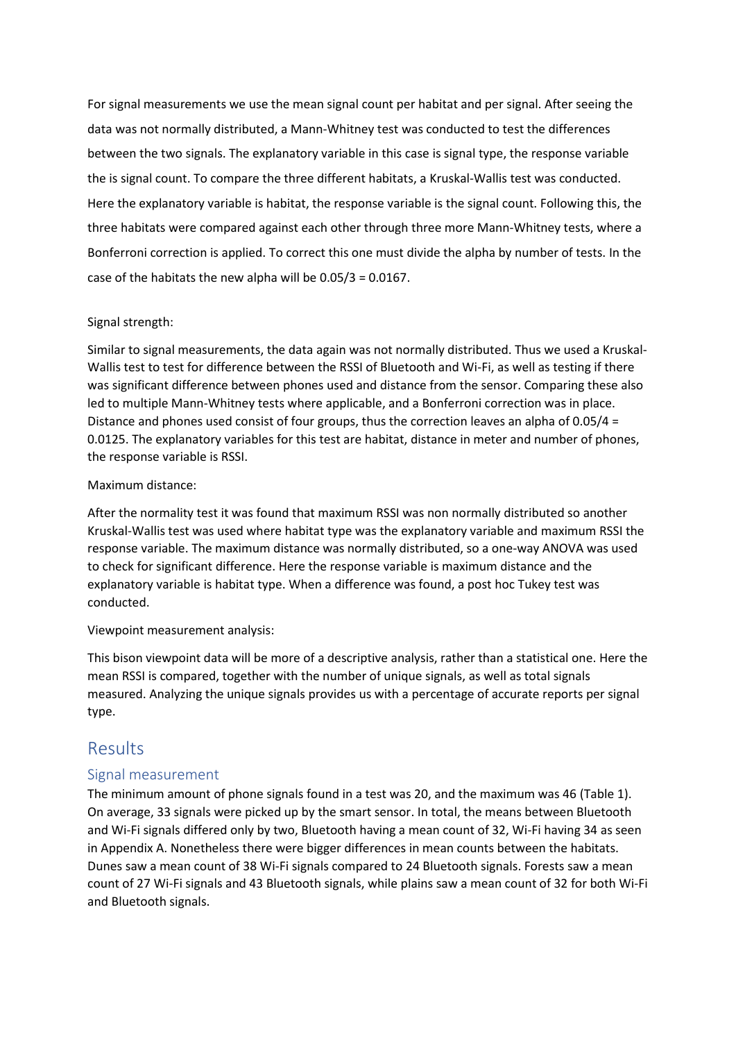For signal measurements we use the mean signal count per habitat and per signal. After seeing the data was not normally distributed, a Mann-Whitney test was conducted to test the differences between the two signals. The explanatory variable in this case is signal type, the response variable the is signal count. To compare the three different habitats, a Kruskal-Wallis test was conducted. Here the explanatory variable is habitat, the response variable is the signal count. Following this, the three habitats were compared against each other through three more Mann-Whitney tests, where a Bonferroni correction is applied. To correct this one must divide the alpha by number of tests. In the case of the habitats the new alpha will be 0.05/3 = 0.0167.

#### Signal strength:

Similar to signal measurements, the data again was not normally distributed. Thus we used a Kruskal-Wallis test to test for difference between the RSSI of Bluetooth and Wi-Fi, as well as testing if there was significant difference between phones used and distance from the sensor. Comparing these also led to multiple Mann-Whitney tests where applicable, and a Bonferroni correction was in place. Distance and phones used consist of four groups, thus the correction leaves an alpha of  $0.05/4 =$ 0.0125. The explanatory variables for this test are habitat, distance in meter and number of phones, the response variable is RSSI.

#### Maximum distance:

After the normality test it was found that maximum RSSI was non normally distributed so another Kruskal-Wallis test was used where habitat type was the explanatory variable and maximum RSSI the response variable. The maximum distance was normally distributed, so a one-way ANOVA was used to check for significant difference. Here the response variable is maximum distance and the explanatory variable is habitat type. When a difference was found, a post hoc Tukey test was conducted.

#### Viewpoint measurement analysis:

This bison viewpoint data will be more of a descriptive analysis, rather than a statistical one. Here the mean RSSI is compared, together with the number of unique signals, as well as total signals measured. Analyzing the unique signals provides us with a percentage of accurate reports per signal type.

### <span id="page-13-0"></span>Results

#### <span id="page-13-1"></span>Signal measurement

The minimum amount of phone signals found in a test was 20, and the maximum was 46 (Table 1). On average, 33 signals were picked up by the smart sensor. In total, the means between Bluetooth and Wi-Fi signals differed only by two, Bluetooth having a mean count of 32, Wi-Fi having 34 as seen in Appendix A. Nonetheless there were bigger differences in mean counts between the habitats. Dunes saw a mean count of 38 Wi-Fi signals compared to 24 Bluetooth signals. Forests saw a mean count of 27 Wi-Fi signals and 43 Bluetooth signals, while plains saw a mean count of 32 for both Wi-Fi and Bluetooth signals.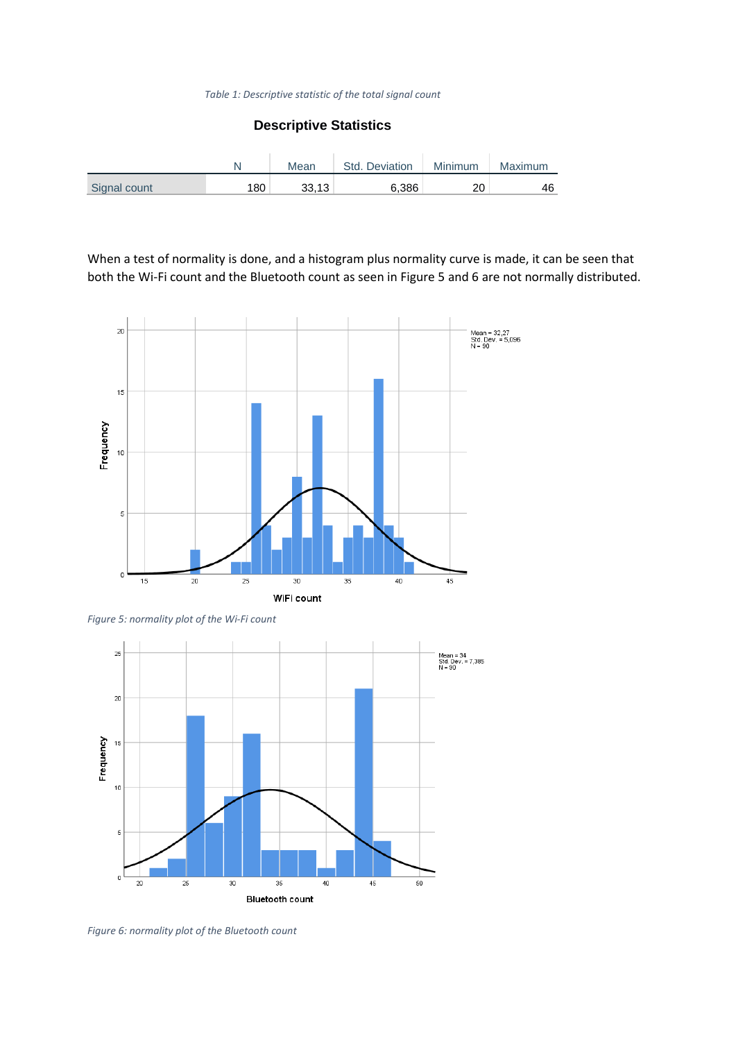#### *Table 1: Descriptive statistic of the total signal count*

#### **Descriptive Statistics**

|              |                  | Mean  | Std. Deviation | Minimum | Maximum |
|--------------|------------------|-------|----------------|---------|---------|
| Signal count | 180 <sub>1</sub> | 33.13 | 6.386          | 20      | 46      |

When a test of normality is done, and a histogram plus normality curve is made, it can be seen that both the Wi-Fi count and the Bluetooth count as seen in Figure 5 and 6 are not normally distributed.



*Figure 5: normality plot of the Wi-Fi count*



*Figure 6: normality plot of the Bluetooth count*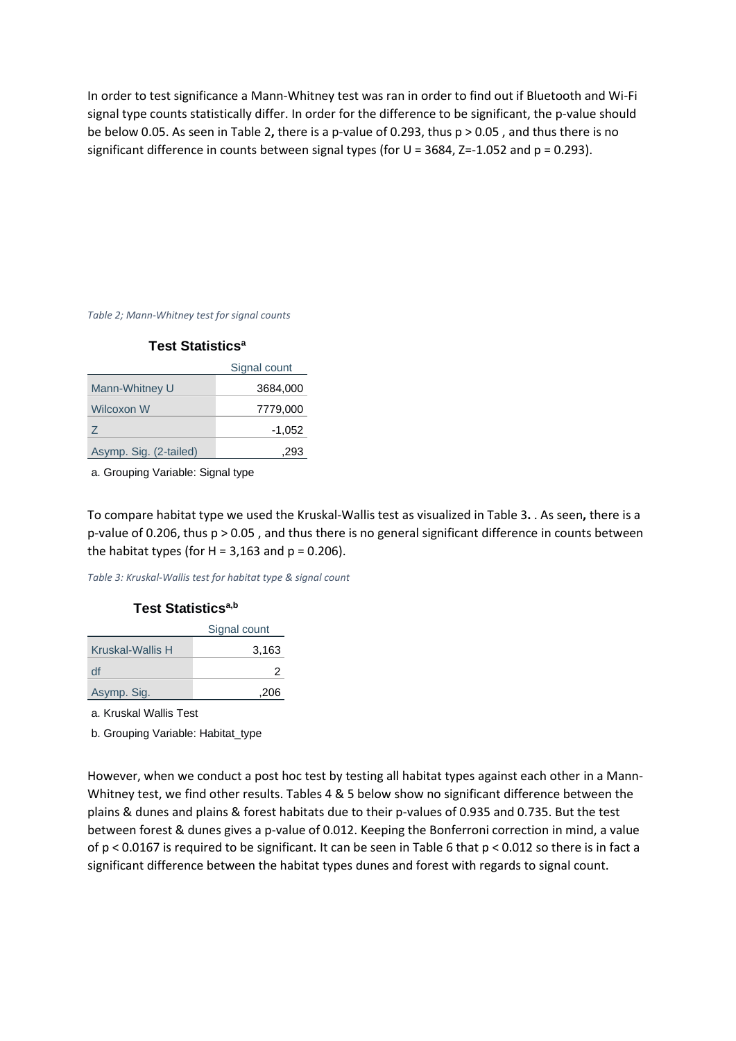In order to test significance a Mann-Whitney test was ran in order to find out if Bluetooth and Wi-Fi signal type counts statistically differ. In order for the difference to be significant, the p-value should be below 0.05. As seen in Table 2**,** there is a p-value of 0.293, thus p > 0.05 , and thus there is no significant difference in counts between signal types (for U = 3684, Z=-1.052 and p = 0.293).

*Table 2; Mann-Whitney test for signal counts*

#### **Test Statistics<sup>a</sup>**

|                        | Signal count |
|------------------------|--------------|
| Mann-Whitney U         | 3684,000     |
| Wilcoxon W             | 7779,000     |
| Z                      | $-1,052$     |
| Asymp. Sig. (2-tailed) | 293          |

a. Grouping Variable: Signal type

To compare habitat type we used the Kruskal-Wallis test as visualized in Table 3**.** . As seen**,** there is a p-value of 0.206, thus p > 0.05 , and thus there is no general significant difference in counts between the habitat types (for  $H = 3,163$  and  $p = 0.206$ ).

*Table 3: Kruskal-Wallis test for habitat type & signal count*

#### **Test Statisticsa,b**

|                  | Signal count |
|------------------|--------------|
| Kruskal-Wallis H | 3,163        |
| df               |              |
| Asymp. Sig.      | .206         |

a. Kruskal Wallis Test

b. Grouping Variable: Habitat\_type

However, when we conduct a post hoc test by testing all habitat types against each other in a Mann-Whitney test, we find other results. Tables 4 & 5 below show no significant difference between the plains & dunes and plains & forest habitats due to their p-values of 0.935 and 0.735. But the test between forest & dunes gives a p-value of 0.012. Keeping the Bonferroni correction in mind, a value of p < 0.0167 is required to be significant. It can be seen in Table 6 that p < 0.012 so there is in fact a significant difference between the habitat types dunes and forest with regards to signal count.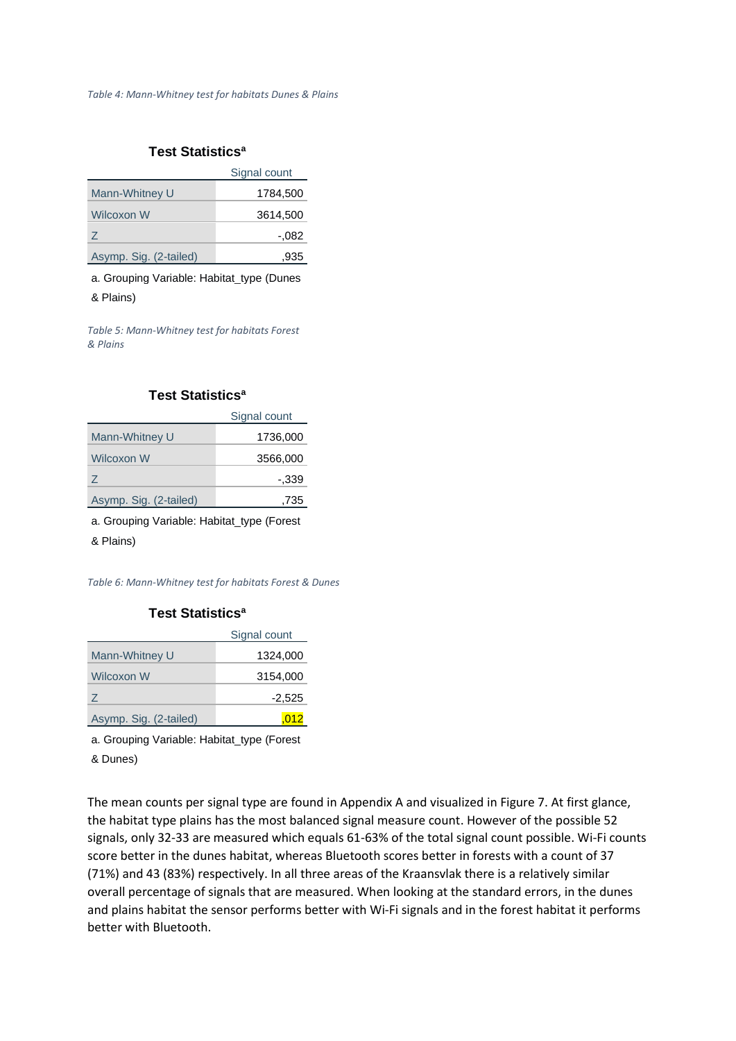#### **Test Statistics<sup>a</sup>**

|                        | Signal count |
|------------------------|--------------|
| Mann-Whitney U         | 1784,500     |
| Wilcoxon W             | 3614,500     |
| Z                      | $-.082$      |
| Asymp. Sig. (2-tailed) | .935         |

a. Grouping Variable: Habitat\_type (Dunes

& Plains)

*Table 5: Mann-Whitney test for habitats Forest & Plains*

#### **Test Statistics<sup>a</sup>**

|                        | Signal count |
|------------------------|--------------|
| Mann-Whitney U         | 1736,000     |
| Wilcoxon W             | 3566,000     |
| Z                      | -.339        |
| Asymp. Sig. (2-tailed) | .735         |

a. Grouping Variable: Habitat\_type (Forest

& Plains)

*Table 6: Mann-Whitney test for habitats Forest & Dunes*

#### **Test Statistics<sup>a</sup>**

|                        | Signal count |
|------------------------|--------------|
| Mann-Whitney U         | 1324,000     |
| Wilcoxon W             | 3154,000     |
| 7                      | $-2,525$     |
| Asymp. Sig. (2-tailed) |              |

a. Grouping Variable: Habitat\_type (Forest

& Dunes)

The mean counts per signal type are found in Appendix A and visualized in Figure 7. At first glance, the habitat type plains has the most balanced signal measure count. However of the possible 52 signals, only 32-33 are measured which equals 61-63% of the total signal count possible. Wi-Fi counts score better in the dunes habitat, whereas Bluetooth scores better in forests with a count of 37 (71%) and 43 (83%) respectively. In all three areas of the Kraansvlak there is a relatively similar overall percentage of signals that are measured. When looking at the standard errors, in the dunes and plains habitat the sensor performs better with Wi-Fi signals and in the forest habitat it performs better with Bluetooth.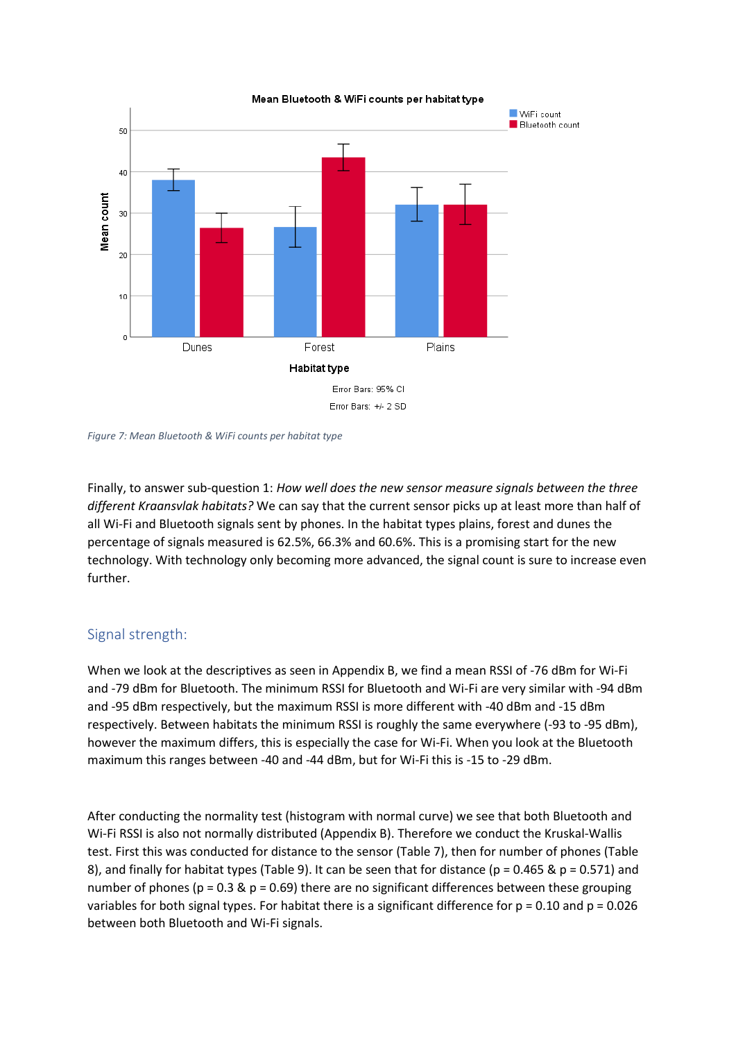

*Figure 7: Mean Bluetooth & WiFi counts per habitat type*

Finally, to answer sub-question 1: *How well does the new sensor measure signals between the three different Kraansvlak habitats?* We can say that the current sensor picks up at least more than half of all Wi-Fi and Bluetooth signals sent by phones. In the habitat types plains, forest and dunes the percentage of signals measured is 62.5%, 66.3% and 60.6%. This is a promising start for the new technology. With technology only becoming more advanced, the signal count is sure to increase even further.

### <span id="page-17-0"></span>Signal strength:

When we look at the descriptives as seen in Appendix B, we find a mean RSSI of -76 dBm for Wi-Fi and -79 dBm for Bluetooth. The minimum RSSI for Bluetooth and Wi-Fi are very similar with -94 dBm and -95 dBm respectively, but the maximum RSSI is more different with -40 dBm and -15 dBm respectively. Between habitats the minimum RSSI is roughly the same everywhere (-93 to -95 dBm), however the maximum differs, this is especially the case for Wi-Fi. When you look at the Bluetooth maximum this ranges between -40 and -44 dBm, but for Wi-Fi this is -15 to -29 dBm.

After conducting the normality test (histogram with normal curve) we see that both Bluetooth and Wi-Fi RSSI is also not normally distributed (Appendix B). Therefore we conduct the Kruskal-Wallis test. First this was conducted for distance to the sensor (Table 7), then for number of phones (Table 8), and finally for habitat types (Table 9). It can be seen that for distance ( $p = 0.465$  &  $p = 0.571$ ) and number of phones ( $p = 0.3$  &  $p = 0.69$ ) there are no significant differences between these grouping variables for both signal types. For habitat there is a significant difference for  $p = 0.10$  and  $p = 0.026$ between both Bluetooth and Wi-Fi signals.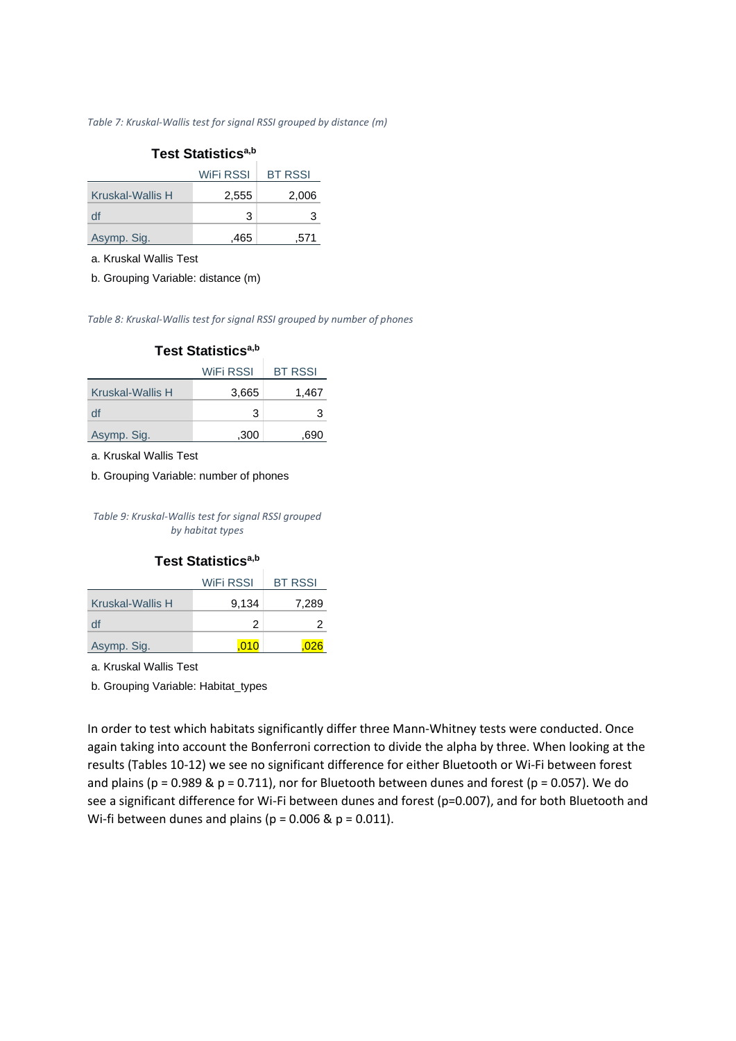*Table 7: Kruskal-Wallis test for signal RSSI grouped by distance (m)*

# **Test Statisticsa,b**

|                  | WiFi RSSI | <b>BT RSSI</b> |
|------------------|-----------|----------------|
| Kruskal-Wallis H | 2.555     | 2.006          |
| df               | 3         |                |
| Asymp. Sig.      | .465      | .571           |

a. Kruskal Wallis Test

b. Grouping Variable: distance (m)

*Table 8: Kruskal-Wallis test for signal RSSI grouped by number of phones*

|                  | WiFi RSSI | <b>BT RSSI</b> |
|------------------|-----------|----------------|
| Kruskal-Wallis H | 3,665     | 1,467          |
| df               | 3         | з              |
| Asymp. Sig.      | .300      | 690            |

a. Kruskal Wallis Test

b. Grouping Variable: number of phones

*Table 9: Kruskal-Wallis test for signal RSSI grouped by habitat types*

#### **Test Statisticsa,b**

|                  | <b>WIFI RSSI</b> | <b>BT RSSI</b> |
|------------------|------------------|----------------|
| Kruskal-Wallis H | 9,134            | 7,289          |
| df               | 2                |                |
| Asymp. Sig.      |                  |                |

a. Kruskal Wallis Test

b. Grouping Variable: Habitat\_types

In order to test which habitats significantly differ three Mann-Whitney tests were conducted. Once again taking into account the Bonferroni correction to divide the alpha by three. When looking at the results (Tables 10-12) we see no significant difference for either Bluetooth or Wi-Fi between forest and plains ( $p = 0.989$  &  $p = 0.711$ ), nor for Bluetooth between dunes and forest ( $p = 0.057$ ). We do see a significant difference for Wi-Fi between dunes and forest (p=0.007), and for both Bluetooth and Wi-fi between dunes and plains ( $p = 0.006$  &  $p = 0.011$ ).

#### **Test Statisticsa,b**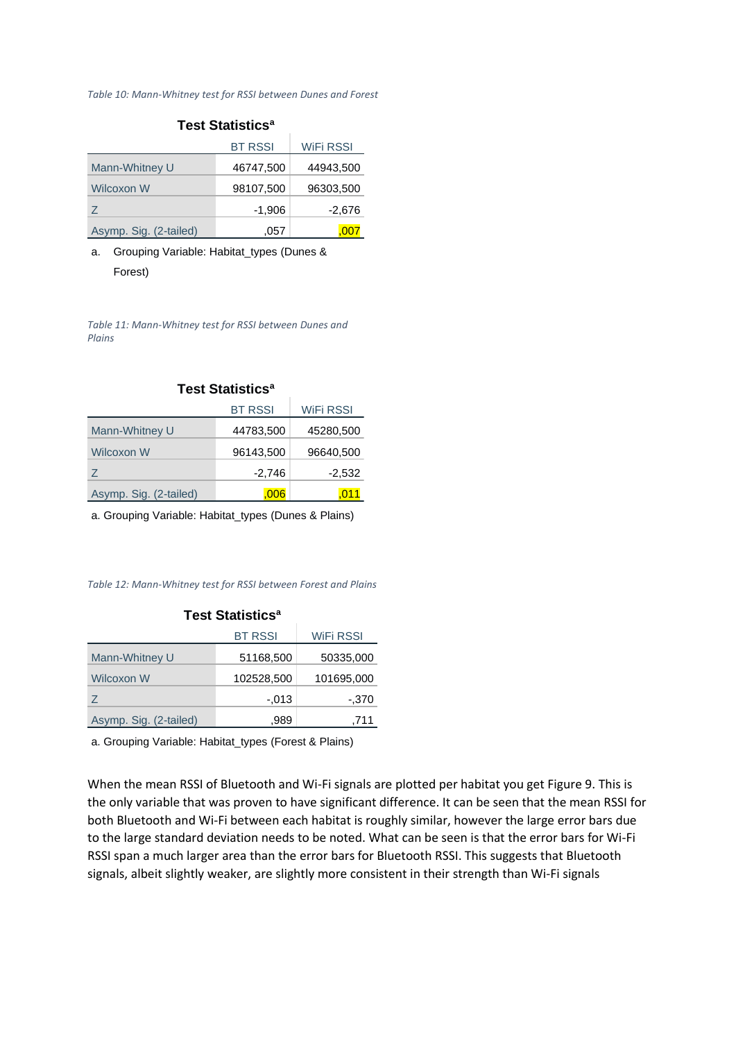#### *Table 10: Mann-Whitney test for RSSI between Dunes and Forest*

| <b>Test Statistics<sup>a</sup></b> |                |                  |  |
|------------------------------------|----------------|------------------|--|
|                                    | <b>BT RSSI</b> | <b>WIFI RSSI</b> |  |
| Mann-Whitney U                     | 46747,500      | 44943,500        |  |
| Wilcoxon W                         | 98107,500      | 96303,500        |  |
| Z                                  | $-1,906$       | -2,676           |  |
| Asymp. Sig. (2-tailed)             | .057           | .007             |  |

#### a. Grouping Variable: Habitat\_types (Dunes & Forest)

*Table 11: Mann-Whitney test for RSSI between Dunes and Plains*

|                        | <b>BT RSSI</b> | WiFi RSSI |
|------------------------|----------------|-----------|
| Mann-Whitney U         | 44783,500      | 45280,500 |
| Wilcoxon W             | 96143,500      | 96640,500 |
| Z.                     | $-2,746$       | $-2,532$  |
| Asymp. Sig. (2-tailed) | .006           |           |

#### **Test Statistics<sup>a</sup>**

a. Grouping Variable: Habitat\_types (Dunes & Plains)

*Table 12: Mann-Whitney test for RSSI between Forest and Plains*

| <b>Test Statistics<sup>a</sup></b> |                |            |  |
|------------------------------------|----------------|------------|--|
|                                    | <b>BT RSSI</b> | WiFi RSSI  |  |
| Mann-Whitney U                     | 51168,500      | 50335,000  |  |
| Wilcoxon W                         | 102528,500     | 101695,000 |  |
| Z                                  | -.013          | $-.370$    |  |
| Asymp. Sig. (2-tailed)             | .989           | ,711       |  |

a. Grouping Variable: Habitat\_types (Forest & Plains)

When the mean RSSI of Bluetooth and Wi-Fi signals are plotted per habitat you get Figure 9. This is the only variable that was proven to have significant difference. It can be seen that the mean RSSI for both Bluetooth and Wi-Fi between each habitat is roughly similar, however the large error bars due to the large standard deviation needs to be noted. What can be seen is that the error bars for Wi-Fi RSSI span a much larger area than the error bars for Bluetooth RSSI. This suggests that Bluetooth signals, albeit slightly weaker, are slightly more consistent in their strength than Wi-Fi signals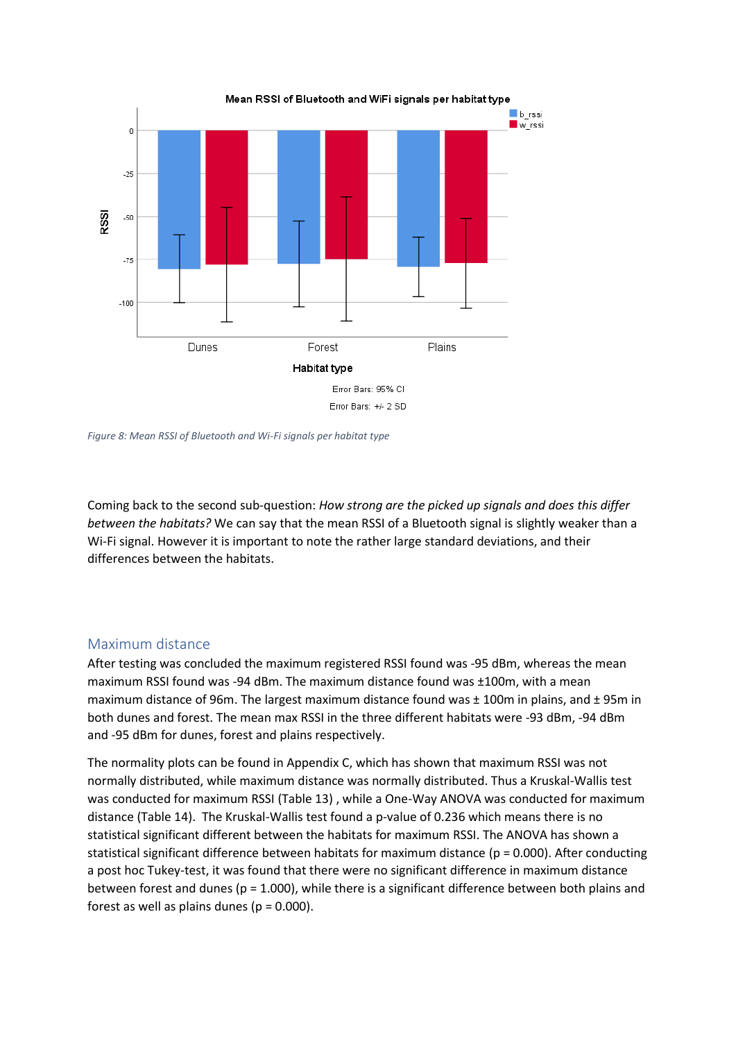

*Figure 8: Mean RSSI of Bluetooth and Wi-Fi signals per habitat type*

Coming back to the second sub-question: *How strong are the picked up signals and does this differ between the habitats?* We can say that the mean RSSI of a Bluetooth signal is slightly weaker than a Wi-Fi signal. However it is important to note the rather large standard deviations, and their differences between the habitats.

#### <span id="page-20-0"></span>Maximum distance

After testing was concluded the maximum registered RSSI found was -95 dBm, whereas the mean maximum RSSI found was -94 dBm. The maximum distance found was ±100m, with a mean maximum distance of 96m. The largest maximum distance found was ± 100m in plains, and ± 95m in both dunes and forest. The mean max RSSI in the three different habitats were -93 dBm, -94 dBm and -95 dBm for dunes, forest and plains respectively.

The normality plots can be found in Appendix C, which has shown that maximum RSSI was not normally distributed, while maximum distance was normally distributed. Thus a Kruskal-Wallis test was conducted for maximum RSSI (Table 13) , while a One-Way ANOVA was conducted for maximum distance (Table 14). The Kruskal-Wallis test found a p-value of 0.236 which means there is no statistical significant different between the habitats for maximum RSSI. The ANOVA has shown a statistical significant difference between habitats for maximum distance (p = 0.000). After conducting a post hoc Tukey-test, it was found that there were no significant difference in maximum distance between forest and dunes ( $p = 1.000$ ), while there is a significant difference between both plains and forest as well as plains dunes ( $p = 0.000$ ).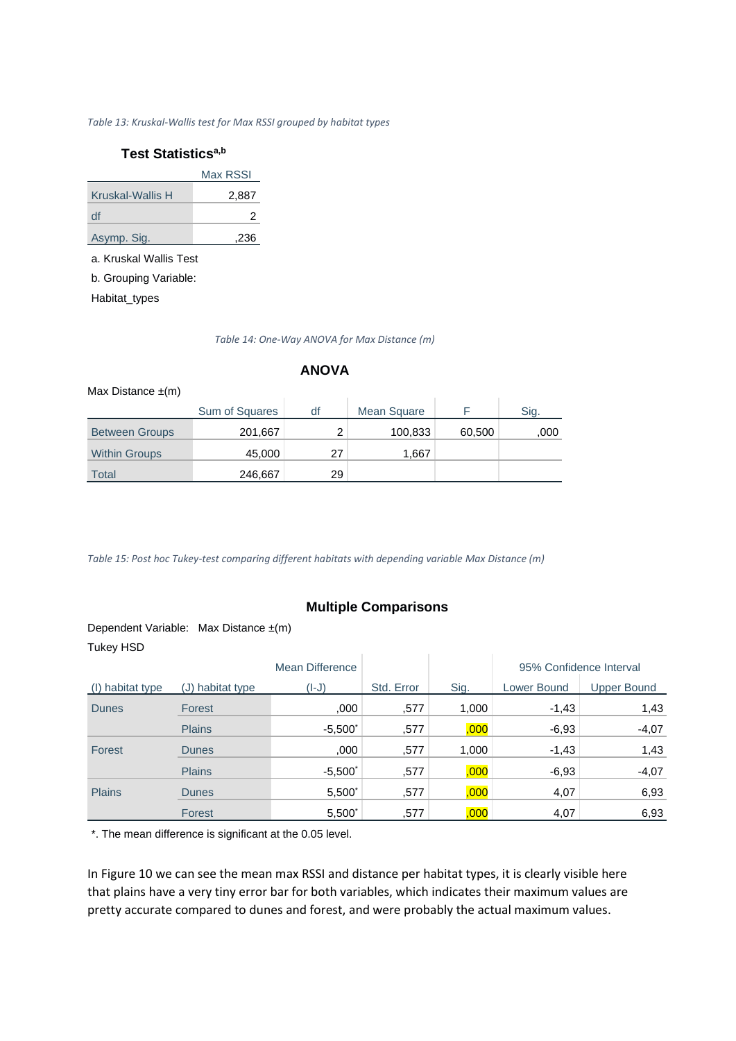#### *Table 13: Kruskal-Wallis test for Max RSSI grouped by habitat types*

#### **Test Statisticsa,b**

|                  | Max RSSI |
|------------------|----------|
| Kruskal-Wallis H | 2,887    |
| df               | 2        |
| Asymp. Sig.      | .236     |

a. Kruskal Wallis Test

b. Grouping Variable:

Habitat\_types

*Table 14: One-Way ANOVA for Max Distance (m)*

#### **ANOVA**

| Max Distance $\pm(m)$ |                |    |                    |        |      |
|-----------------------|----------------|----|--------------------|--------|------|
|                       | Sum of Squares | df | <b>Mean Square</b> |        | Sig. |
| <b>Between Groups</b> | 201,667        |    | 100,833            | 60,500 | ,000 |
| <b>Within Groups</b>  | 45,000         | 27 | 1,667              |        |      |
| <b>Total</b>          | 246,667        | 29 |                    |        |      |

*Table 15: Post hoc Tukey-test comparing different habitats with depending variable Max Distance (m)*

#### **Multiple Comparisons**

#### Dependent Variable: Max Distance ±(m) Tukey HSD

| 10001100         |                  |                 |            |       |             |                         |
|------------------|------------------|-----------------|------------|-------|-------------|-------------------------|
|                  |                  | Mean Difference |            |       |             | 95% Confidence Interval |
| (I) habitat type | (J) habitat type | (I-J)           | Std. Error | Sig.  | Lower Bound | <b>Upper Bound</b>      |
| <b>Dunes</b>     | Forest           | ,000            | .577       | 1,000 | $-1,43$     | 1,43                    |
|                  | <b>Plains</b>    | $-5,500^*$      | .577       | ,000, | $-6,93$     | $-4,07$                 |
| Forest           | <b>Dunes</b>     | ,000            | ,577       | 1,000 | $-1,43$     | 1,43                    |
|                  | <b>Plains</b>    | $-5,500^*$      | .577       | ,000, | $-6,93$     | $-4,07$                 |
| <b>Plains</b>    | <b>Dunes</b>     | $5,500^*$       | .577       | ,000, | 4,07        | 6,93                    |
|                  | Forest           | $5,500^*$       | ,577       | ,000  | 4,07        | 6,93                    |

\*. The mean difference is significant at the 0.05 level.

In Figure 10 we can see the mean max RSSI and distance per habitat types, it is clearly visible here that plains have a very tiny error bar for both variables, which indicates their maximum values are pretty accurate compared to dunes and forest, and were probably the actual maximum values.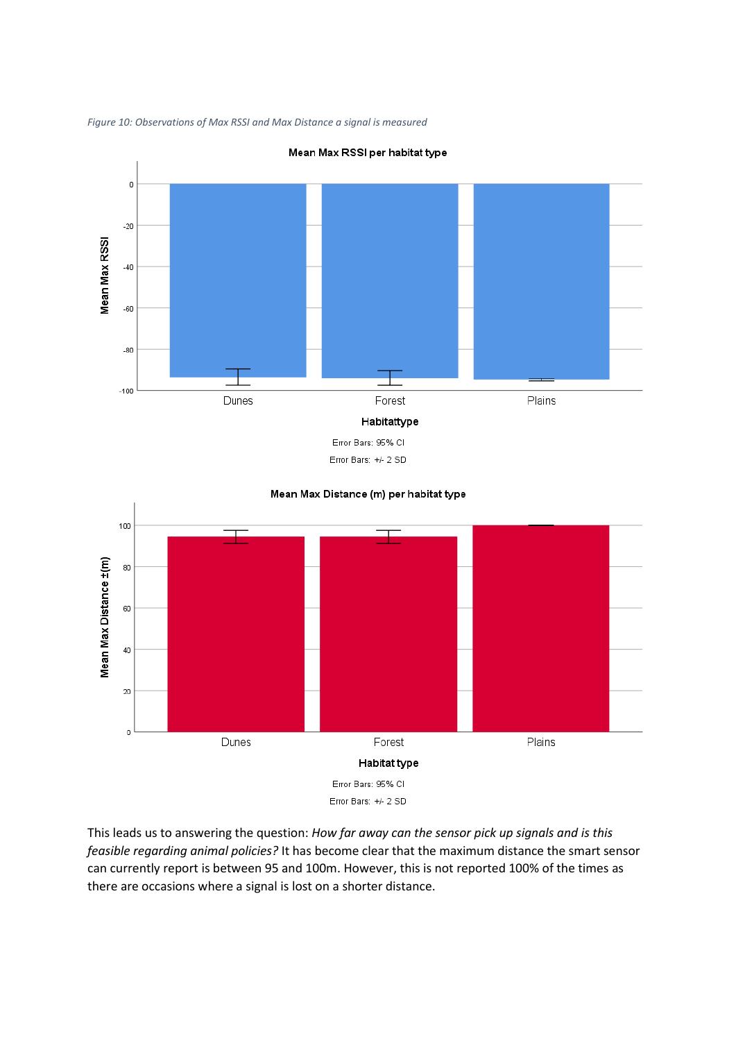

*Figure 10: Observations of Max RSSI and Max Distance a signal is measured*

Error Bars: 95% CI Error Bars: +/- 2 SD



This leads us to answering the question: *How far away can the sensor pick up signals and is this feasible regarding animal policies?* It has become clear that the maximum distance the smart sensor can currently report is between 95 and 100m. However, this is not reported 100% of the times as there are occasions where a signal is lost on a shorter distance.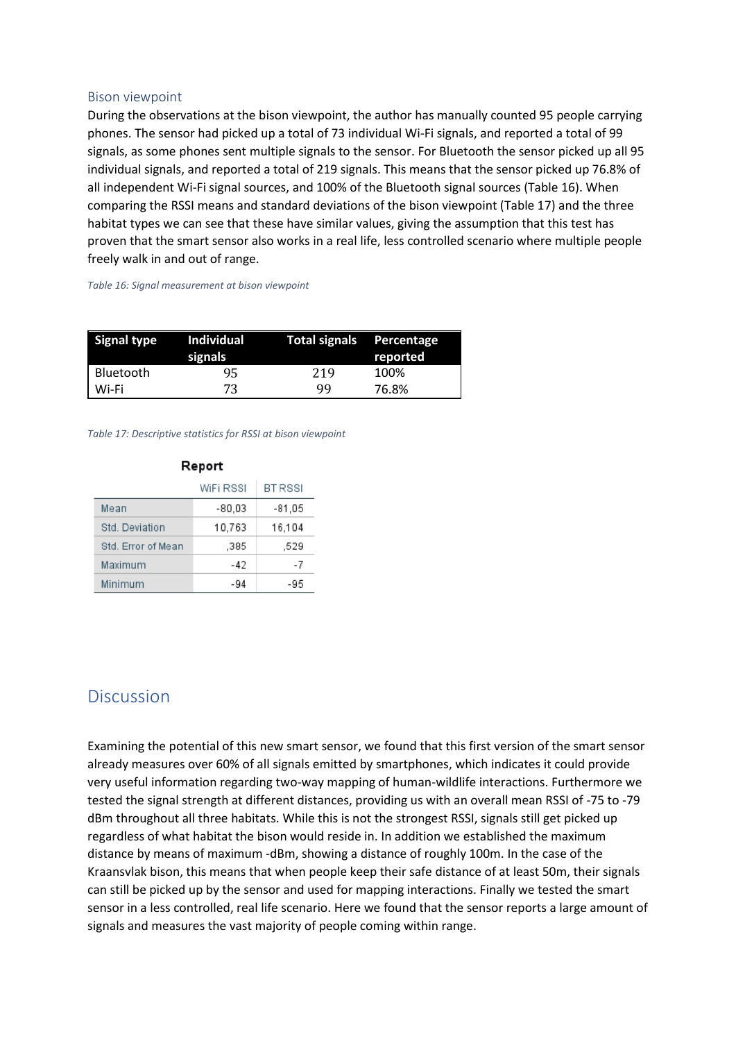#### <span id="page-23-0"></span>Bison viewpoint

During the observations at the bison viewpoint, the author has manually counted 95 people carrying phones. The sensor had picked up a total of 73 individual Wi-Fi signals, and reported a total of 99 signals, as some phones sent multiple signals to the sensor. For Bluetooth the sensor picked up all 95 individual signals, and reported a total of 219 signals. This means that the sensor picked up 76.8% of all independent Wi-Fi signal sources, and 100% of the Bluetooth signal sources (Table 16). When comparing the RSSI means and standard deviations of the bison viewpoint (Table 17) and the three habitat types we can see that these have similar values, giving the assumption that this test has proven that the smart sensor also works in a real life, less controlled scenario where multiple people freely walk in and out of range.

*Table 16: Signal measurement at bison viewpoint*

| <b>Signal type</b> | Individual<br>signals | Total signals Percentage | reported |
|--------------------|-----------------------|--------------------------|----------|
| Bluetooth          | 95                    | 219                      | 100%     |
| Wi-Fi              | 73                    | qq                       | 76.8%    |

*Table 17: Descriptive statistics for RSSI at bison viewpoint*

| Report             |           |                |  |
|--------------------|-----------|----------------|--|
|                    | WiFi RSSI | <b>BT RSSI</b> |  |
| Mean               | $-80.03$  | $-81,05$       |  |
| Std. Deviation     | 10,763    | 16,104         |  |
| Std. Error of Mean | .385      | .529           |  |
| Maximum            | -42       | -7             |  |
| Minimum            | -94       | -95            |  |

# <span id="page-23-1"></span>**Discussion**

Examining the potential of this new smart sensor, we found that this first version of the smart sensor already measures over 60% of all signals emitted by smartphones, which indicates it could provide very useful information regarding two-way mapping of human-wildlife interactions. Furthermore we tested the signal strength at different distances, providing us with an overall mean RSSI of -75 to -79 dBm throughout all three habitats. While this is not the strongest RSSI, signals still get picked up regardless of what habitat the bison would reside in. In addition we established the maximum distance by means of maximum -dBm, showing a distance of roughly 100m. In the case of the Kraansvlak bison, this means that when people keep their safe distance of at least 50m, their signals can still be picked up by the sensor and used for mapping interactions. Finally we tested the smart sensor in a less controlled, real life scenario. Here we found that the sensor reports a large amount of signals and measures the vast majority of people coming within range.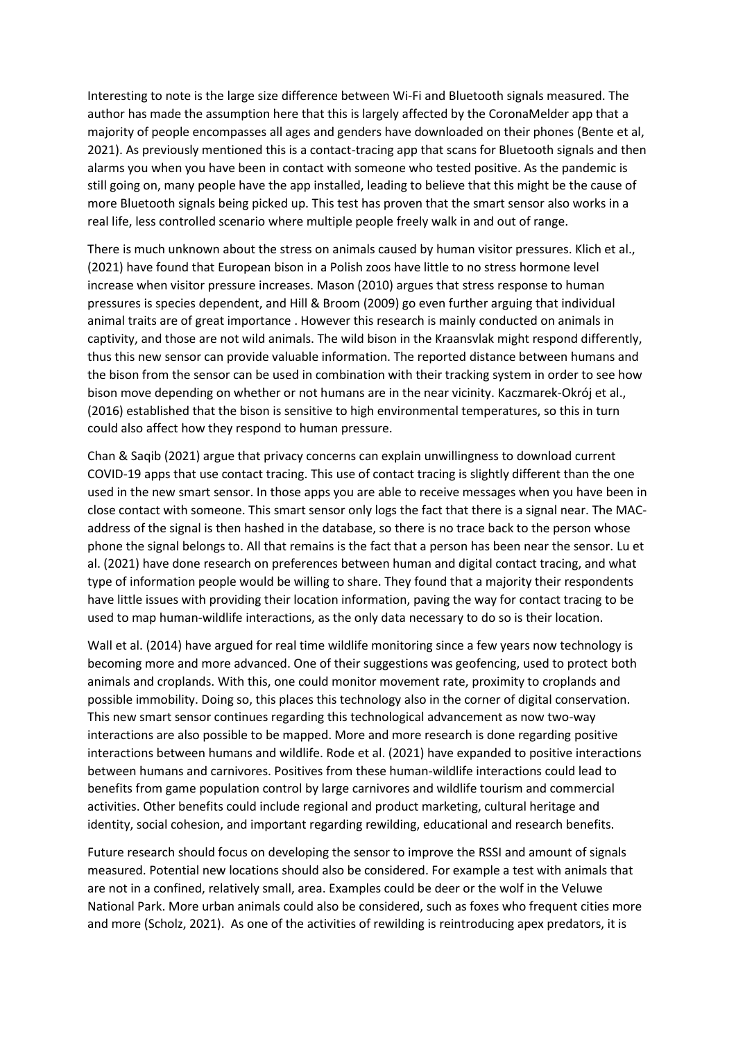Interesting to note is the large size difference between Wi-Fi and Bluetooth signals measured. The author has made the assumption here that this is largely affected by the CoronaMelder app that a majority of people encompasses all ages and genders have downloaded on their phones (Bente et al, 2021). As previously mentioned this is a contact-tracing app that scans for Bluetooth signals and then alarms you when you have been in contact with someone who tested positive. As the pandemic is still going on, many people have the app installed, leading to believe that this might be the cause of more Bluetooth signals being picked up. This test has proven that the smart sensor also works in a real life, less controlled scenario where multiple people freely walk in and out of range.

There is much unknown about the stress on animals caused by human visitor pressures. Klich et al., (2021) have found that European bison in a Polish zoos have little to no stress hormone level increase when visitor pressure increases. Mason (2010) argues that stress response to human pressures is species dependent, and Hill & Broom (2009) go even further arguing that individual animal traits are of great importance . However this research is mainly conducted on animals in captivity, and those are not wild animals. The wild bison in the Kraansvlak might respond differently, thus this new sensor can provide valuable information. The reported distance between humans and the bison from the sensor can be used in combination with their tracking system in order to see how bison move depending on whether or not humans are in the near vicinity. Kaczmarek-Okrój et al., (2016) established that the bison is sensitive to high environmental temperatures, so this in turn could also affect how they respond to human pressure.

Chan & Saqib (2021) argue that privacy concerns can explain unwillingness to download current COVID-19 apps that use contact tracing. This use of contact tracing is slightly different than the one used in the new smart sensor. In those apps you are able to receive messages when you have been in close contact with someone. This smart sensor only logs the fact that there is a signal near. The MACaddress of the signal is then hashed in the database, so there is no trace back to the person whose phone the signal belongs to. All that remains is the fact that a person has been near the sensor. Lu et al. (2021) have done research on preferences between human and digital contact tracing, and what type of information people would be willing to share. They found that a majority their respondents have little issues with providing their location information, paving the way for contact tracing to be used to map human-wildlife interactions, as the only data necessary to do so is their location.

Wall et al. (2014) have argued for real time wildlife monitoring since a few years now technology is becoming more and more advanced. One of their suggestions was geofencing, used to protect both animals and croplands. With this, one could monitor movement rate, proximity to croplands and possible immobility. Doing so, this places this technology also in the corner of digital conservation. This new smart sensor continues regarding this technological advancement as now two-way interactions are also possible to be mapped. More and more research is done regarding positive interactions between humans and wildlife. Rode et al. (2021) have expanded to positive interactions between humans and carnivores. Positives from these human-wildlife interactions could lead to benefits from game population control by large carnivores and wildlife tourism and commercial activities. Other benefits could include regional and product marketing, cultural heritage and identity, social cohesion, and important regarding rewilding, educational and research benefits.

Future research should focus on developing the sensor to improve the RSSI and amount of signals measured. Potential new locations should also be considered. For example a test with animals that are not in a confined, relatively small, area. Examples could be deer or the wolf in the Veluwe National Park. More urban animals could also be considered, such as foxes who frequent cities more and more (Scholz, 2021). As one of the activities of rewilding is reintroducing apex predators, it is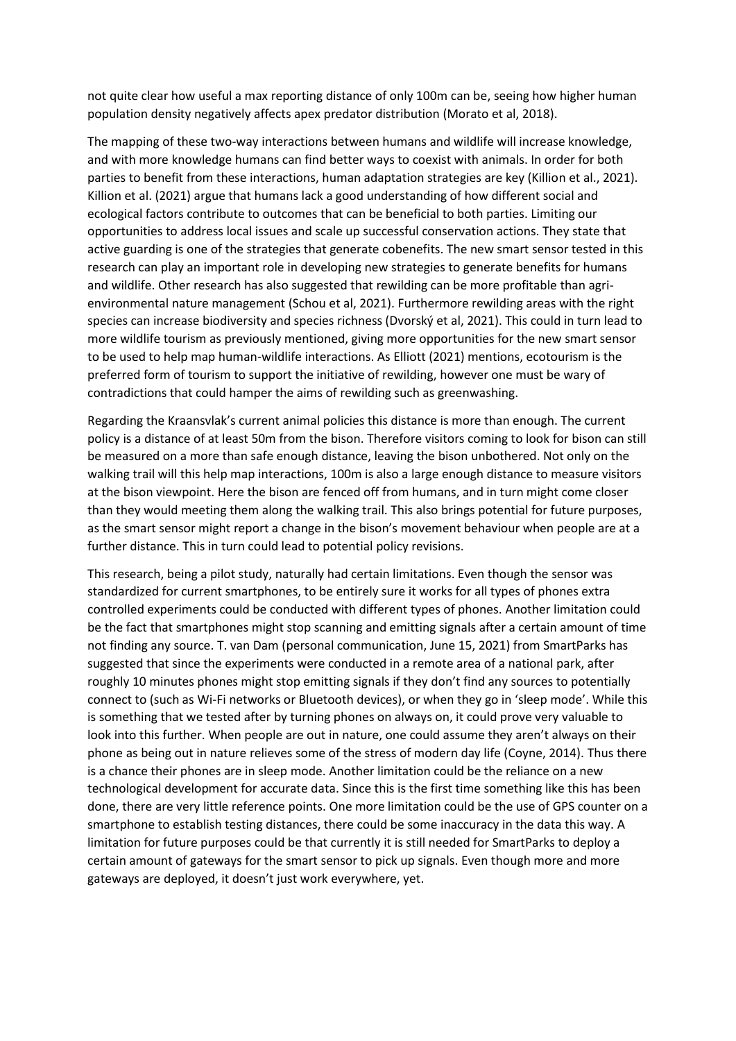not quite clear how useful a max reporting distance of only 100m can be, seeing how higher human population density negatively affects apex predator distribution (Morato et al, 2018).

The mapping of these two-way interactions between humans and wildlife will increase knowledge, and with more knowledge humans can find better ways to coexist with animals. In order for both parties to benefit from these interactions, human adaptation strategies are key (Killion et al., 2021). Killion et al. (2021) argue that humans lack a good understanding of how different social and ecological factors contribute to outcomes that can be beneficial to both parties. Limiting our opportunities to address local issues and scale up successful conservation actions. They state that active guarding is one of the strategies that generate cobenefits. The new smart sensor tested in this research can play an important role in developing new strategies to generate benefits for humans and wildlife. Other research has also suggested that rewilding can be more profitable than agrienvironmental nature management (Schou et al, 2021). Furthermore rewilding areas with the right species can increase biodiversity and species richness (Dvorský et al, 2021). This could in turn lead to more wildlife tourism as previously mentioned, giving more opportunities for the new smart sensor to be used to help map human-wildlife interactions. As Elliott (2021) mentions, ecotourism is the preferred form of tourism to support the initiative of rewilding, however one must be wary of contradictions that could hamper the aims of rewilding such as greenwashing.

Regarding the Kraansvlak's current animal policies this distance is more than enough. The current policy is a distance of at least 50m from the bison. Therefore visitors coming to look for bison can still be measured on a more than safe enough distance, leaving the bison unbothered. Not only on the walking trail will this help map interactions, 100m is also a large enough distance to measure visitors at the bison viewpoint. Here the bison are fenced off from humans, and in turn might come closer than they would meeting them along the walking trail. This also brings potential for future purposes, as the smart sensor might report a change in the bison's movement behaviour when people are at a further distance. This in turn could lead to potential policy revisions.

This research, being a pilot study, naturally had certain limitations. Even though the sensor was standardized for current smartphones, to be entirely sure it works for all types of phones extra controlled experiments could be conducted with different types of phones. Another limitation could be the fact that smartphones might stop scanning and emitting signals after a certain amount of time not finding any source. T. van Dam (personal communication, June 15, 2021) from SmartParks has suggested that since the experiments were conducted in a remote area of a national park, after roughly 10 minutes phones might stop emitting signals if they don't find any sources to potentially connect to (such as Wi-Fi networks or Bluetooth devices), or when they go in 'sleep mode'. While this is something that we tested after by turning phones on always on, it could prove very valuable to look into this further. When people are out in nature, one could assume they aren't always on their phone as being out in nature relieves some of the stress of modern day life (Coyne, 2014). Thus there is a chance their phones are in sleep mode. Another limitation could be the reliance on a new technological development for accurate data. Since this is the first time something like this has been done, there are very little reference points. One more limitation could be the use of GPS counter on a smartphone to establish testing distances, there could be some inaccuracy in the data this way. A limitation for future purposes could be that currently it is still needed for SmartParks to deploy a certain amount of gateways for the smart sensor to pick up signals. Even though more and more gateways are deployed, it doesn't just work everywhere, yet.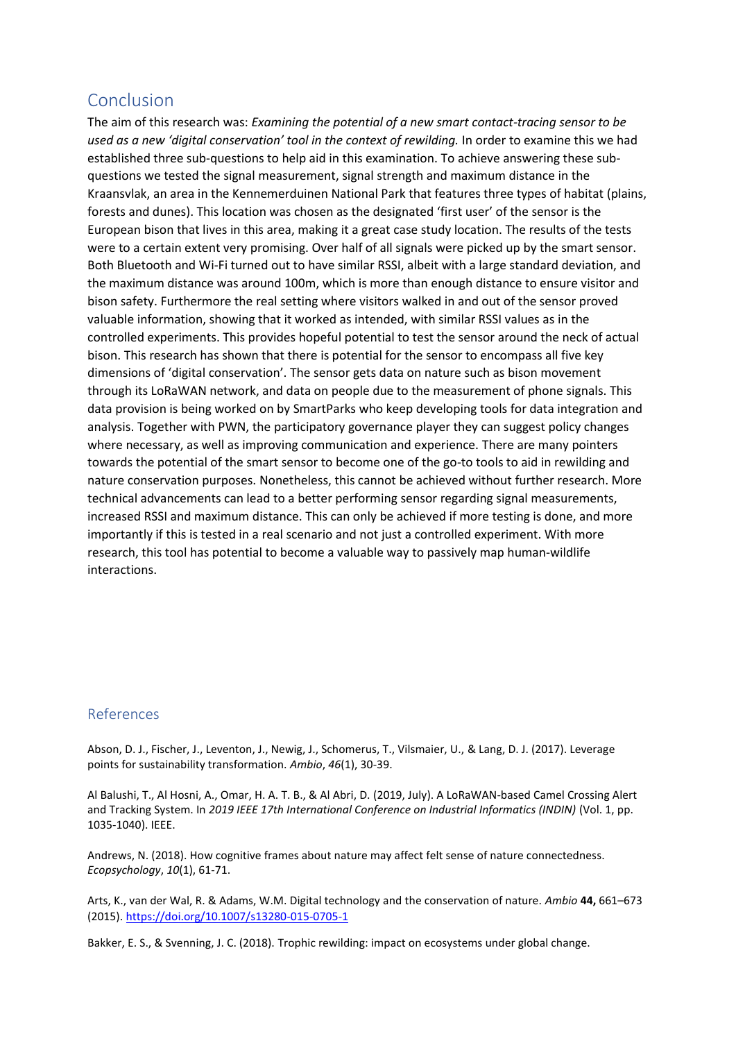# <span id="page-26-0"></span>Conclusion

The aim of this research was: *Examining the potential of a new smart contact-tracing sensor to be used as a new 'digital conservation' tool in the context of rewilding.* In order to examine this we had established three sub-questions to help aid in this examination. To achieve answering these subquestions we tested the signal measurement, signal strength and maximum distance in the Kraansvlak, an area in the Kennemerduinen National Park that features three types of habitat (plains, forests and dunes). This location was chosen as the designated 'first user' of the sensor is the European bison that lives in this area, making it a great case study location. The results of the tests were to a certain extent very promising. Over half of all signals were picked up by the smart sensor. Both Bluetooth and Wi-Fi turned out to have similar RSSI, albeit with a large standard deviation, and the maximum distance was around 100m, which is more than enough distance to ensure visitor and bison safety. Furthermore the real setting where visitors walked in and out of the sensor proved valuable information, showing that it worked as intended, with similar RSSI values as in the controlled experiments. This provides hopeful potential to test the sensor around the neck of actual bison. This research has shown that there is potential for the sensor to encompass all five key dimensions of 'digital conservation'. The sensor gets data on nature such as bison movement through its LoRaWAN network, and data on people due to the measurement of phone signals. This data provision is being worked on by SmartParks who keep developing tools for data integration and analysis. Together with PWN, the participatory governance player they can suggest policy changes where necessary, as well as improving communication and experience. There are many pointers towards the potential of the smart sensor to become one of the go-to tools to aid in rewilding and nature conservation purposes. Nonetheless, this cannot be achieved without further research. More technical advancements can lead to a better performing sensor regarding signal measurements, increased RSSI and maximum distance. This can only be achieved if more testing is done, and more importantly if this is tested in a real scenario and not just a controlled experiment. With more research, this tool has potential to become a valuable way to passively map human-wildlife interactions.

#### <span id="page-26-1"></span>References

Abson, D. J., Fischer, J., Leventon, J., Newig, J., Schomerus, T., Vilsmaier, U., & Lang, D. J. (2017). Leverage points for sustainability transformation. *Ambio*, *46*(1), 30-39.

Al Balushi, T., Al Hosni, A., Omar, H. A. T. B., & Al Abri, D. (2019, July). A LoRaWAN-based Camel Crossing Alert and Tracking System. In *2019 IEEE 17th International Conference on Industrial Informatics (INDIN)* (Vol. 1, pp. 1035-1040). IEEE.

Andrews, N. (2018). How cognitive frames about nature may affect felt sense of nature connectedness. *Ecopsychology*, *10*(1), 61-71.

Arts, K., van der Wal, R. & Adams, W.M. Digital technology and the conservation of nature. *Ambio* **44,** 661–673 (2015).<https://doi.org/10.1007/s13280-015-0705-1>

Bakker, E. S., & Svenning, J. C. (2018). Trophic rewilding: impact on ecosystems under global change.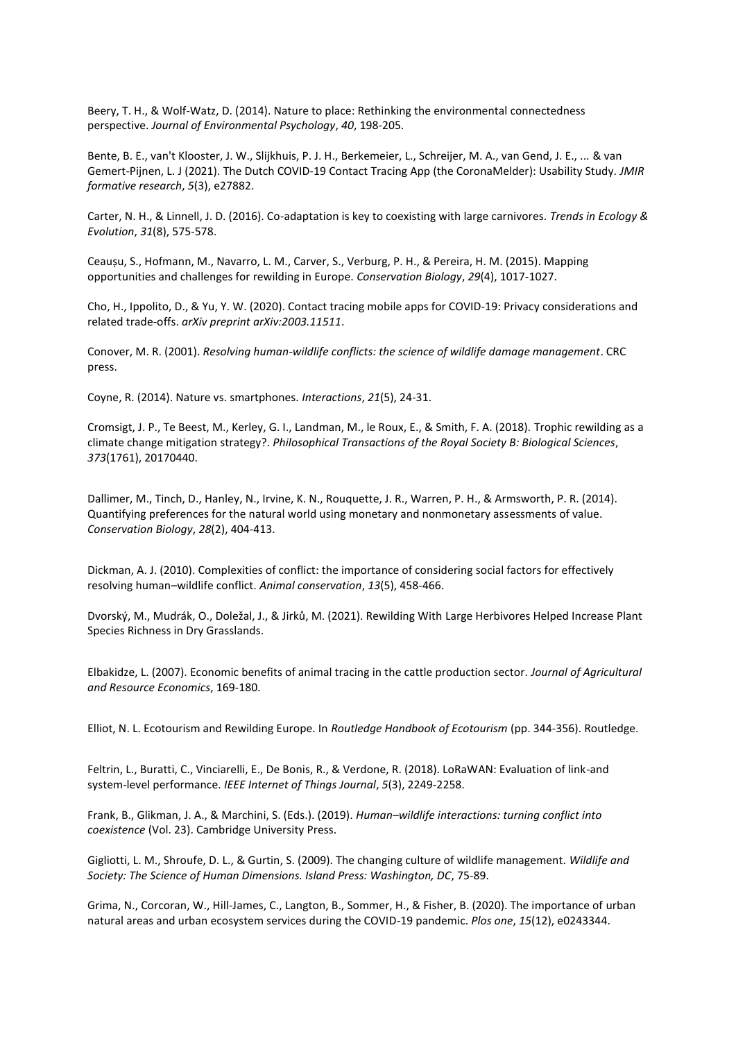Beery, T. H., & Wolf-Watz, D. (2014). Nature to place: Rethinking the environmental connectedness perspective. *Journal of Environmental Psychology*, *40*, 198-205.

Bente, B. E., van't Klooster, J. W., Slijkhuis, P. J. H., Berkemeier, L., Schreijer, M. A., van Gend, J. E., ... & van Gemert-Pijnen, L. J (2021). The Dutch COVID-19 Contact Tracing App (the CoronaMelder): Usability Study. *JMIR formative research*, *5*(3), e27882.

Carter, N. H., & Linnell, J. D. (2016). Co-adaptation is key to coexisting with large carnivores. *Trends in Ecology & Evolution*, *31*(8), 575-578.

Ceaușu, S., Hofmann, M., Navarro, L. M., Carver, S., Verburg, P. H., & Pereira, H. M. (2015). Mapping opportunities and challenges for rewilding in Europe. *Conservation Biology*, *29*(4), 1017-1027.

Cho, H., Ippolito, D., & Yu, Y. W. (2020). Contact tracing mobile apps for COVID-19: Privacy considerations and related trade-offs. *arXiv preprint arXiv:2003.11511*.

Conover, M. R. (2001). *Resolving human-wildlife conflicts: the science of wildlife damage management*. CRC press.

Coyne, R. (2014). Nature vs. smartphones. *Interactions*, *21*(5), 24-31.

Cromsigt, J. P., Te Beest, M., Kerley, G. I., Landman, M., le Roux, E., & Smith, F. A. (2018). Trophic rewilding as a climate change mitigation strategy?. *Philosophical Transactions of the Royal Society B: Biological Sciences*, *373*(1761), 20170440.

Dallimer, M., Tinch, D., Hanley, N., Irvine, K. N., Rouquette, J. R., Warren, P. H., & Armsworth, P. R. (2014). Quantifying preferences for the natural world using monetary and nonmonetary assessments of value. *Conservation Biology*, *28*(2), 404-413.

Dickman, A. J. (2010). Complexities of conflict: the importance of considering social factors for effectively resolving human–wildlife conflict. *Animal conservation*, *13*(5), 458-466.

Dvorský, M., Mudrák, O., Doležal, J., & Jirků, M. (2021). Rewilding With Large Herbivores Helped Increase Plant Species Richness in Dry Grasslands.

Elbakidze, L. (2007). Economic benefits of animal tracing in the cattle production sector. *Journal of Agricultural and Resource Economics*, 169-180.

Elliot, N. L. Ecotourism and Rewilding Europe. In *Routledge Handbook of Ecotourism* (pp. 344-356). Routledge.

Feltrin, L., Buratti, C., Vinciarelli, E., De Bonis, R., & Verdone, R. (2018). LoRaWAN: Evaluation of link-and system-level performance. *IEEE Internet of Things Journal*, *5*(3), 2249-2258.

Frank, B., Glikman, J. A., & Marchini, S. (Eds.). (2019). *Human–wildlife interactions: turning conflict into coexistence* (Vol. 23). Cambridge University Press.

Gigliotti, L. M., Shroufe, D. L., & Gurtin, S. (2009). The changing culture of wildlife management. *Wildlife and Society: The Science of Human Dimensions. Island Press: Washington, DC*, 75-89.

Grima, N., Corcoran, W., Hill-James, C., Langton, B., Sommer, H., & Fisher, B. (2020). The importance of urban natural areas and urban ecosystem services during the COVID-19 pandemic. *Plos one*, *15*(12), e0243344.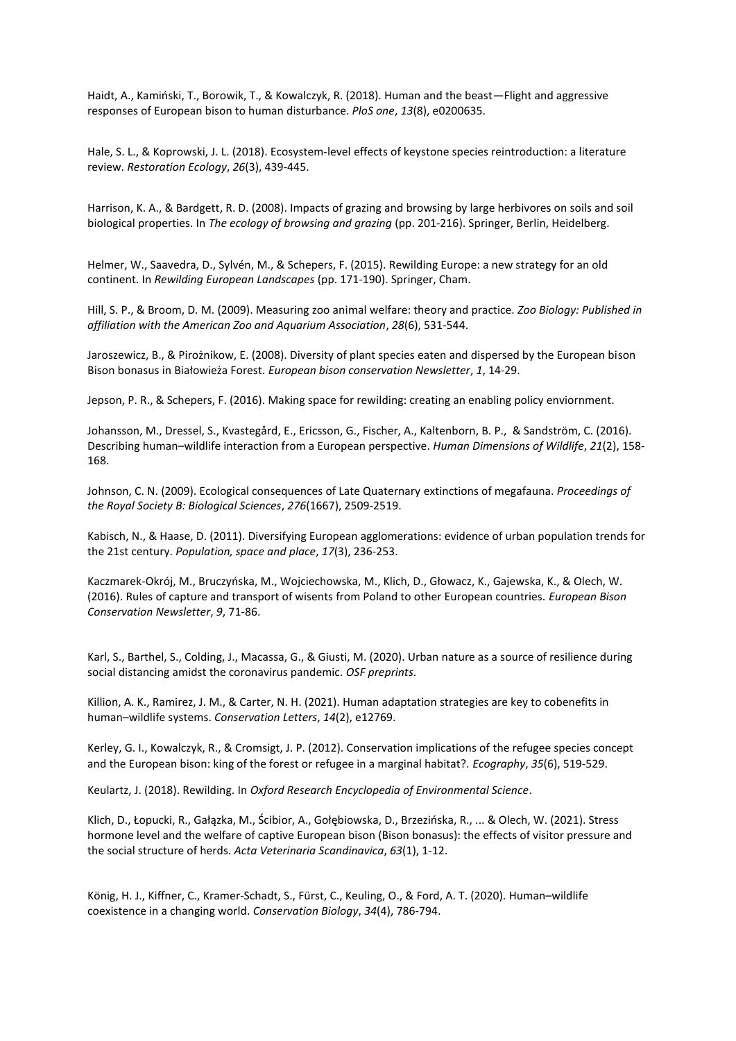Haidt, A., Kamiński, T., Borowik, T., & Kowalczyk, R. (2018). Human and the beast—Flight and aggressive responses of European bison to human disturbance. *PloS one*, *13*(8), e0200635.

Hale, S. L., & Koprowski, J. L. (2018). Ecosystem‐level effects of keystone species reintroduction: a literature review. *Restoration Ecology*, *26*(3), 439-445.

Harrison, K. A., & Bardgett, R. D. (2008). Impacts of grazing and browsing by large herbivores on soils and soil biological properties. In *The ecology of browsing and grazing* (pp. 201-216). Springer, Berlin, Heidelberg.

Helmer, W., Saavedra, D., Sylvén, M., & Schepers, F. (2015). Rewilding Europe: a new strategy for an old continent. In *Rewilding European Landscapes* (pp. 171-190). Springer, Cham.

Hill, S. P., & Broom, D. M. (2009). Measuring zoo animal welfare: theory and practice. *Zoo Biology: Published in affiliation with the American Zoo and Aquarium Association*, *28*(6), 531-544.

Jaroszewicz, B., & Pirożnikow, E. (2008). Diversity of plant species eaten and dispersed by the European bison Bison bonasus in Białowieża Forest. *European bison conservation Newsletter*, *1*, 14-29.

Jepson, P. R., & Schepers, F. (2016). Making space for rewilding: creating an enabling policy enviornment.

Johansson, M., Dressel, S., Kvastegård, E., Ericsson, G., Fischer, A., Kaltenborn, B. P., & Sandström, C. (2016). Describing human–wildlife interaction from a European perspective. *Human Dimensions of Wildlife*, *21*(2), 158- 168.

Johnson, C. N. (2009). Ecological consequences of Late Quaternary extinctions of megafauna. *Proceedings of the Royal Society B: Biological Sciences*, *276*(1667), 2509-2519.

Kabisch, N., & Haase, D. (2011). Diversifying European agglomerations: evidence of urban population trends for the 21st century. *Population, space and place*, *17*(3), 236-253.

Kaczmarek-Okrój, M., Bruczyńska, M., Wojciechowska, M., Klich, D., Głowacz, K., Gajewska, K., & Olech, W. (2016). Rules of capture and transport of wisents from Poland to other European countries. *European Bison Conservation Newsletter*, *9*, 71-86.

Karl, S., Barthel, S., Colding, J., Macassa, G., & Giusti, M. (2020). Urban nature as a source of resilience during social distancing amidst the coronavirus pandemic. *OSF preprints*.

Killion, A. K., Ramirez, J. M., & Carter, N. H. (2021). Human adaptation strategies are key to cobenefits in human–wildlife systems. *Conservation Letters*, *14*(2), e12769.

Kerley, G. I., Kowalczyk, R., & Cromsigt, J. P. (2012). Conservation implications of the refugee species concept and the European bison: king of the forest or refugee in a marginal habitat?. *Ecography*, *35*(6), 519-529.

Keulartz, J. (2018). Rewilding. In *Oxford Research Encyclopedia of Environmental Science*.

Klich, D., Łopucki, R., Gałązka, M., Ścibior, A., Gołębiowska, D., Brzezińska, R., ... & Olech, W. (2021). Stress hormone level and the welfare of captive European bison (Bison bonasus): the effects of visitor pressure and the social structure of herds. *Acta Veterinaria Scandinavica*, *63*(1), 1-12.

König, H. J., Kiffner, C., Kramer‐Schadt, S., Fürst, C., Keuling, O., & Ford, A. T. (2020). Human–wildlife coexistence in a changing world. *Conservation Biology*, *34*(4), 786-794.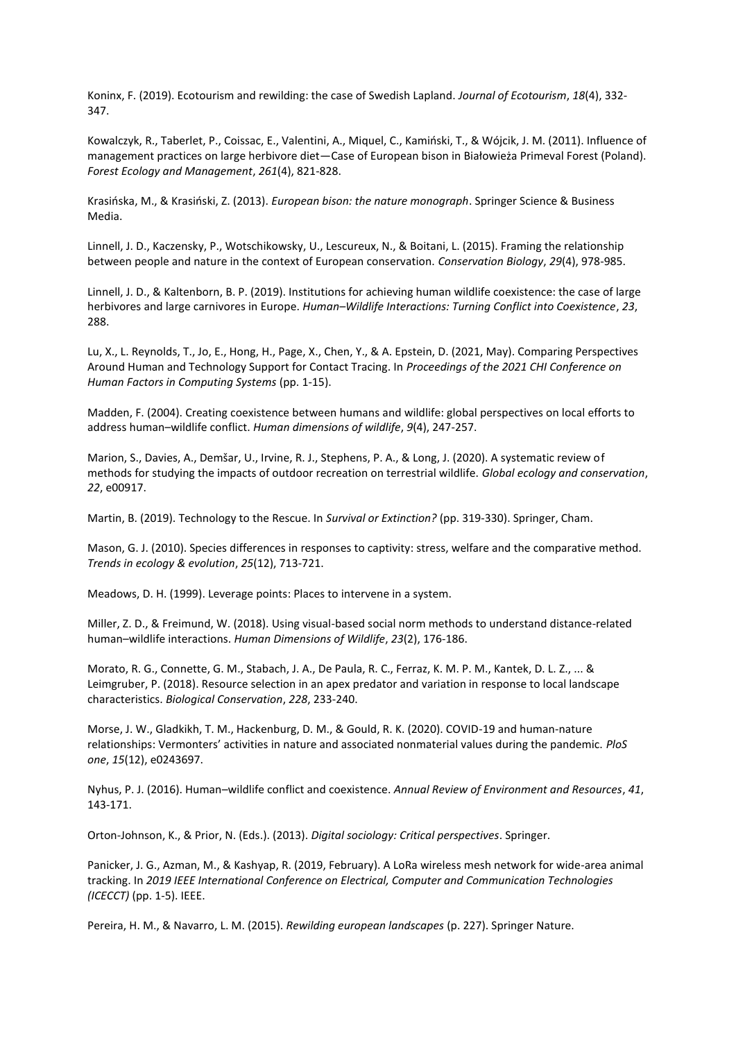Koninx, F. (2019). Ecotourism and rewilding: the case of Swedish Lapland. *Journal of Ecotourism*, *18*(4), 332- 347.

Kowalczyk, R., Taberlet, P., Coissac, E., Valentini, A., Miquel, C., Kamiński, T., & Wójcik, J. M. (2011). Influence of management practices on large herbivore diet—Case of European bison in Białowieża Primeval Forest (Poland). *Forest Ecology and Management*, *261*(4), 821-828.

Krasińska, M., & Krasiński, Z. (2013). *European bison: the nature monograph*. Springer Science & Business Media.

Linnell, J. D., Kaczensky, P., Wotschikowsky, U., Lescureux, N., & Boitani, L. (2015). Framing the relationship between people and nature in the context of European conservation. *Conservation Biology*, *29*(4), 978-985.

Linnell, J. D., & Kaltenborn, B. P. (2019). Institutions for achieving human wildlife coexistence: the case of large herbivores and large carnivores in Europe. *Human–Wildlife Interactions: Turning Conflict into Coexistence*, *23*, 288.

Lu, X., L. Reynolds, T., Jo, E., Hong, H., Page, X., Chen, Y., & A. Epstein, D. (2021, May). Comparing Perspectives Around Human and Technology Support for Contact Tracing. In *Proceedings of the 2021 CHI Conference on Human Factors in Computing Systems* (pp. 1-15).

Madden, F. (2004). Creating coexistence between humans and wildlife: global perspectives on local efforts to address human–wildlife conflict. *Human dimensions of wildlife*, *9*(4), 247-257.

Marion, S., Davies, A., Demšar, U., Irvine, R. J., Stephens, P. A., & Long, J. (2020). A systematic review of methods for studying the impacts of outdoor recreation on terrestrial wildlife. *Global ecology and conservation*, *22*, e00917.

Martin, B. (2019). Technology to the Rescue. In *Survival or Extinction?* (pp. 319-330). Springer, Cham.

Mason, G. J. (2010). Species differences in responses to captivity: stress, welfare and the comparative method. *Trends in ecology & evolution*, *25*(12), 713-721.

Meadows, D. H. (1999). Leverage points: Places to intervene in a system.

Miller, Z. D., & Freimund, W. (2018). Using visual-based social norm methods to understand distance-related human–wildlife interactions. *Human Dimensions of Wildlife*, *23*(2), 176-186.

Morato, R. G., Connette, G. M., Stabach, J. A., De Paula, R. C., Ferraz, K. M. P. M., Kantek, D. L. Z., ... & Leimgruber, P. (2018). Resource selection in an apex predator and variation in response to local landscape characteristics. *Biological Conservation*, *228*, 233-240.

Morse, J. W., Gladkikh, T. M., Hackenburg, D. M., & Gould, R. K. (2020). COVID-19 and human-nature relationships: Vermonters' activities in nature and associated nonmaterial values during the pandemic. *PloS one*, *15*(12), e0243697.

Nyhus, P. J. (2016). Human–wildlife conflict and coexistence. *Annual Review of Environment and Resources*, *41*, 143-171.

Orton-Johnson, K., & Prior, N. (Eds.). (2013). *Digital sociology: Critical perspectives*. Springer.

Panicker, J. G., Azman, M., & Kashyap, R. (2019, February). A LoRa wireless mesh network for wide-area animal tracking. In *2019 IEEE International Conference on Electrical, Computer and Communication Technologies (ICECCT)* (pp. 1-5). IEEE.

Pereira, H. M., & Navarro, L. M. (2015). *Rewilding european landscapes* (p. 227). Springer Nature.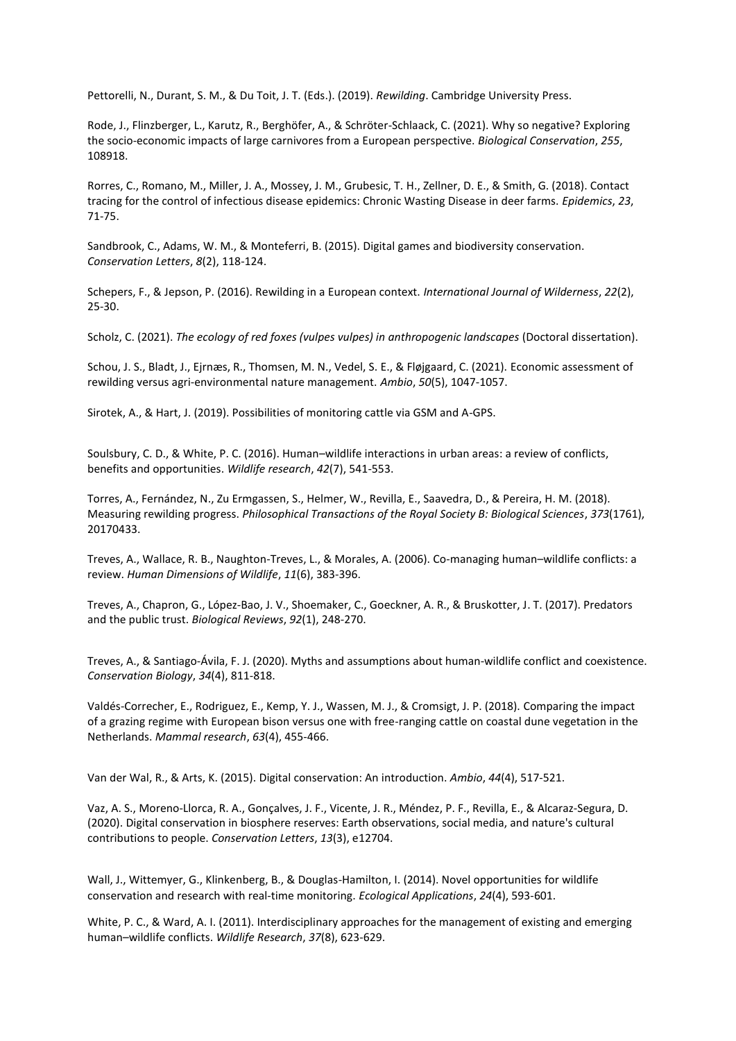Pettorelli, N., Durant, S. M., & Du Toit, J. T. (Eds.). (2019). *Rewilding*. Cambridge University Press.

Rode, J., Flinzberger, L., Karutz, R., Berghöfer, A., & Schröter-Schlaack, C. (2021). Why so negative? Exploring the socio-economic impacts of large carnivores from a European perspective. *Biological Conservation*, *255*, 108918.

Rorres, C., Romano, M., Miller, J. A., Mossey, J. M., Grubesic, T. H., Zellner, D. E., & Smith, G. (2018). Contact tracing for the control of infectious disease epidemics: Chronic Wasting Disease in deer farms. *Epidemics*, *23*, 71-75.

Sandbrook, C., Adams, W. M., & Monteferri, B. (2015). Digital games and biodiversity conservation. *Conservation Letters*, *8*(2), 118-124.

Schepers, F., & Jepson, P. (2016). Rewilding in a European context. *International Journal of Wilderness*, *22*(2), 25-30.

Scholz, C. (2021). *The ecology of red foxes (vulpes vulpes) in anthropogenic landscapes* (Doctoral dissertation).

Schou, J. S., Bladt, J., Ejrnæs, R., Thomsen, M. N., Vedel, S. E., & Fløjgaard, C. (2021). Economic assessment of rewilding versus agri-environmental nature management. *Ambio*, *50*(5), 1047-1057.

Sirotek, A., & Hart, J. (2019). Possibilities of monitoring cattle via GSM and A-GPS.

Soulsbury, C. D., & White, P. C. (2016). Human–wildlife interactions in urban areas: a review of conflicts, benefits and opportunities. *Wildlife research*, *42*(7), 541-553.

Torres, A., Fernández, N., Zu Ermgassen, S., Helmer, W., Revilla, E., Saavedra, D., & Pereira, H. M. (2018). Measuring rewilding progress. *Philosophical Transactions of the Royal Society B: Biological Sciences*, *373*(1761), 20170433.

Treves, A., Wallace, R. B., Naughton-Treves, L., & Morales, A. (2006). Co-managing human–wildlife conflicts: a review. *Human Dimensions of Wildlife*, *11*(6), 383-396.

Treves, A., Chapron, G., López‐Bao, J. V., Shoemaker, C., Goeckner, A. R., & Bruskotter, J. T. (2017). Predators and the public trust. *Biological Reviews*, *92*(1), 248-270.

Treves, A., & Santiago‐Ávila, F. J. (2020). Myths and assumptions about human‐wildlife conflict and coexistence. *Conservation Biology*, *34*(4), 811-818.

Valdés-Correcher, E., Rodriguez, E., Kemp, Y. J., Wassen, M. J., & Cromsigt, J. P. (2018). Comparing the impact of a grazing regime with European bison versus one with free-ranging cattle on coastal dune vegetation in the Netherlands. *Mammal research*, *63*(4), 455-466.

Van der Wal, R., & Arts, K. (2015). Digital conservation: An introduction. *Ambio*, *44*(4), 517-521.

Vaz, A. S., Moreno‐Llorca, R. A., Gonçalves, J. F., Vicente, J. R., Méndez, P. F., Revilla, E., & Alcaraz‐Segura, D. (2020). Digital conservation in biosphere reserves: Earth observations, social media, and nature's cultural contributions to people. *Conservation Letters*, *13*(3), e12704.

Wall, J., Wittemyer, G., Klinkenberg, B., & Douglas-Hamilton, I. (2014). Novel opportunities for wildlife conservation and research with real‐time monitoring. *Ecological Applications*, *24*(4), 593-601.

White, P. C., & Ward, A. I. (2011). Interdisciplinary approaches for the management of existing and emerging human–wildlife conflicts. *Wildlife Research*, *37*(8), 623-629.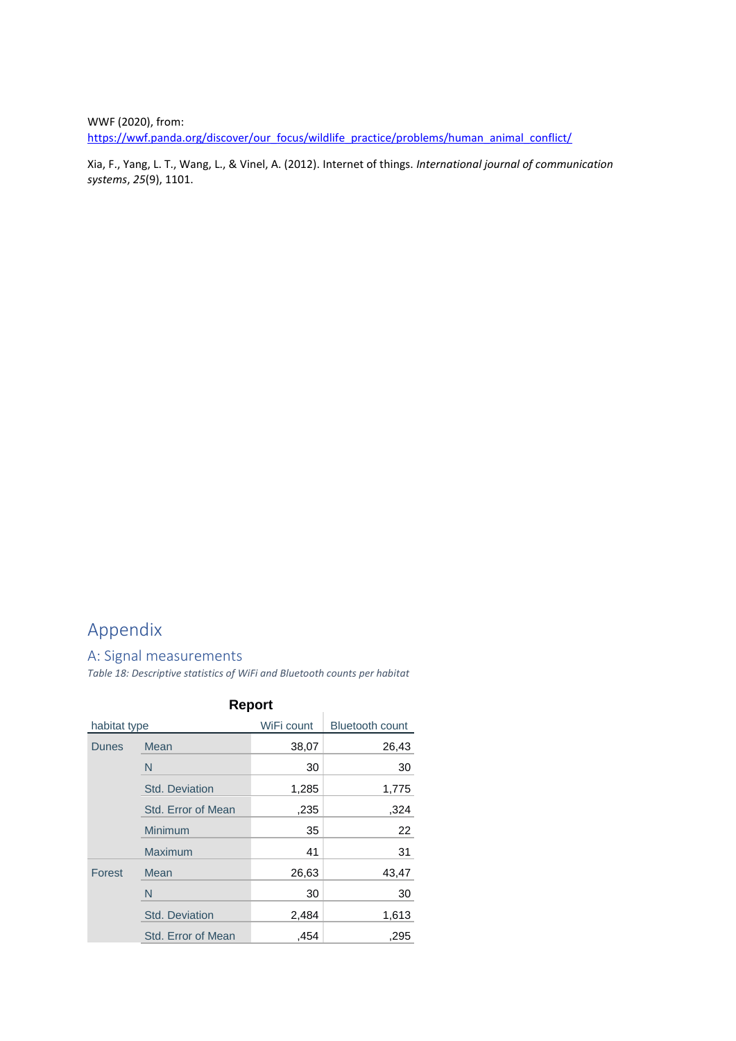WWF (2020), from: [https://wwf.panda.org/discover/our\\_focus/wildlife\\_practice/problems/human\\_animal\\_conflict/](https://wwf.panda.org/discover/our_focus/wildlife_practice/problems/human_animal_conflict/)

Xia, F., Yang, L. T., Wang, L., & Vinel, A. (2012). Internet of things. *International journal of communication systems*, *25*(9), 1101.

# <span id="page-31-0"></span>Appendix

#### <span id="page-31-1"></span>A: Signal measurements

*Table 18: Descriptive statistics of WiFi and Bluetooth counts per habitat*

| <b>Report</b> |                       |            |                        |
|---------------|-----------------------|------------|------------------------|
| habitat type  |                       | WiFi count | <b>Bluetooth count</b> |
| <b>Dunes</b>  | Mean                  | 38,07      | 26,43                  |
|               | N                     | 30         | 30                     |
|               | <b>Std. Deviation</b> | 1,285      | 1,775                  |
|               | Std. Error of Mean    | .235       | ,324                   |
|               | Minimum               | 35         | 22                     |
|               | <b>Maximum</b>        | 41         | 31                     |
| Forest        | Mean                  | 26,63      | 43,47                  |
|               | N                     | 30         | 30                     |
|               | <b>Std. Deviation</b> | 2,484      | 1,613                  |
|               | Std. Error of Mean    | .454       | ,295                   |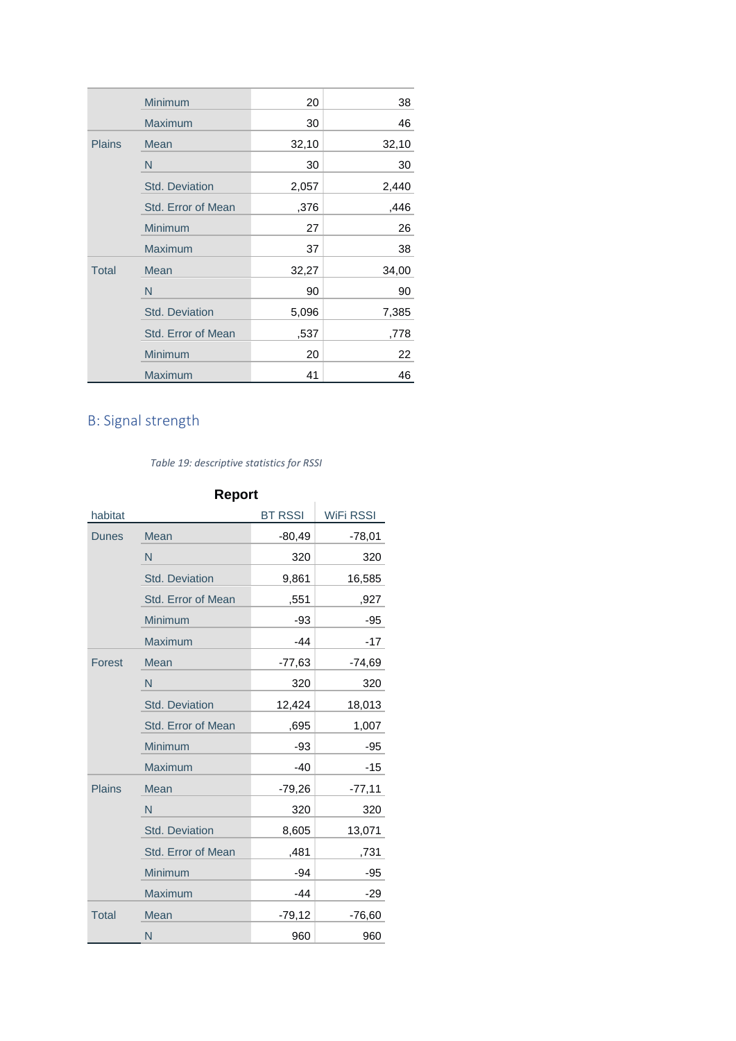|               | Minimum               | 20    | 38    |
|---------------|-----------------------|-------|-------|
|               | <b>Maximum</b>        | 30    | 46    |
| <b>Plains</b> | Mean                  | 32,10 | 32,10 |
|               | N                     | 30    | 30    |
|               | <b>Std. Deviation</b> | 2,057 | 2,440 |
|               | Std. Error of Mean    | ,376  | ,446  |
|               | Minimum               | 27    | 26    |
|               | <b>Maximum</b>        | 37    | 38    |
| <b>Total</b>  | Mean                  | 32,27 | 34,00 |
|               | N                     | 90    | 90    |
|               | <b>Std. Deviation</b> | 5,096 | 7,385 |
|               | Std. Error of Mean    | ,537  | ,778  |
|               | Minimum               | 20    | 22    |
|               | Maximum               | 41    | 46    |

# <span id="page-32-0"></span>B: Signal strength

#### *Table 19: descriptive statistics for RSSI*

| <b>Report</b> |                       |                |                  |  |
|---------------|-----------------------|----------------|------------------|--|
| habitat       |                       | <b>BT RSSI</b> | <b>WiFi RSSI</b> |  |
| <b>Dunes</b>  | Mean                  | $-80,49$       | $-78,01$         |  |
|               | N                     | 320            | 320              |  |
|               | <b>Std. Deviation</b> | 9,861          | 16,585           |  |
|               | Std. Error of Mean    | .551           | ,927             |  |
|               | Minimum               | $-93$          | $-95$            |  |
|               | Maximum               | $-44$          | $-17$            |  |
| Forest        | Mean                  | $-77,63$       | $-74,69$         |  |
|               | N                     | 320            | 320              |  |
|               | <b>Std. Deviation</b> | 12,424         | 18,013           |  |
|               | Std. Error of Mean    | ,695           | 1,007            |  |
|               | Minimum               | $-93$          | -95              |  |
|               | Maximum               | $-40$          | $-15$            |  |
| <b>Plains</b> | Mean                  | $-79,26$       | $-77,11$         |  |
|               | N                     | 320            | 320              |  |
|               | <b>Std. Deviation</b> | 8,605          | 13,071           |  |
|               | Std. Error of Mean    | ,481           | ,731             |  |
|               | Minimum               | $-94$          | $-95$            |  |
|               | Maximum               | $-44$          | $-29$            |  |
| <b>Total</b>  | Mean                  | $-79,12$       | $-76,60$         |  |
|               | N                     | 960            | 960              |  |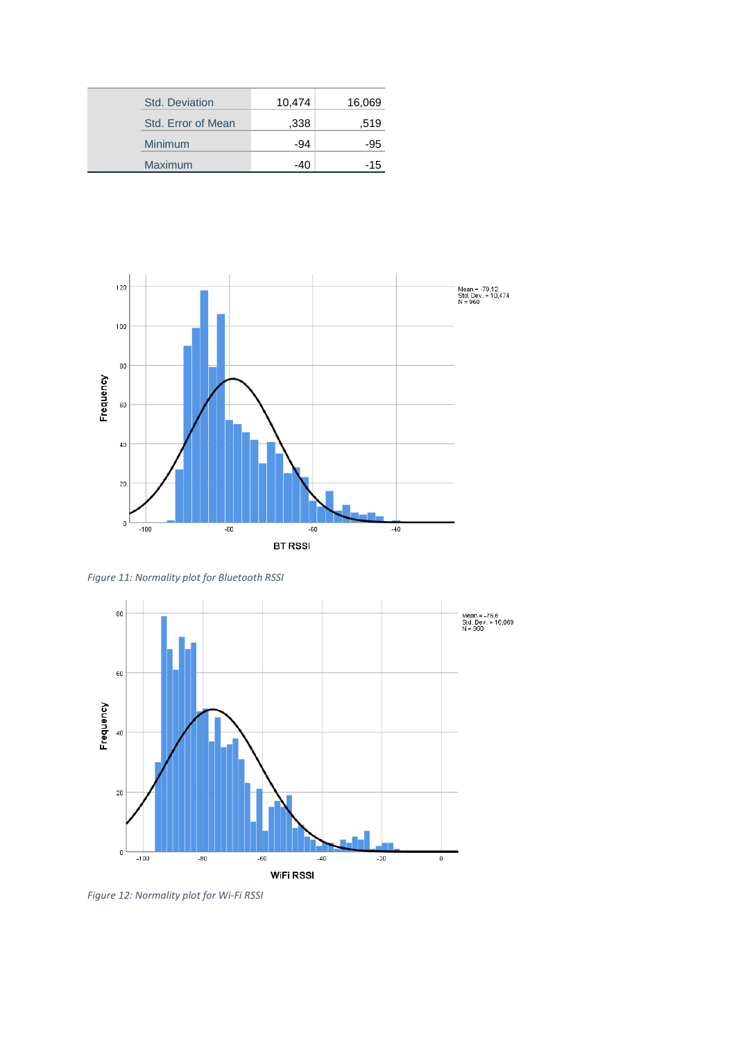| <b>Std. Deviation</b> | 10,474 | 16,069 |
|-----------------------|--------|--------|
| Std. Error of Mean    | .338   | .519   |
| Minimum               | -94    | -95    |
| <b>Maximum</b>        | -40    | -15    |



*Figure 11: Normality plot for Bluetooth RSSI*



*Figure 12: Normality plot for Wi-Fi RSSI*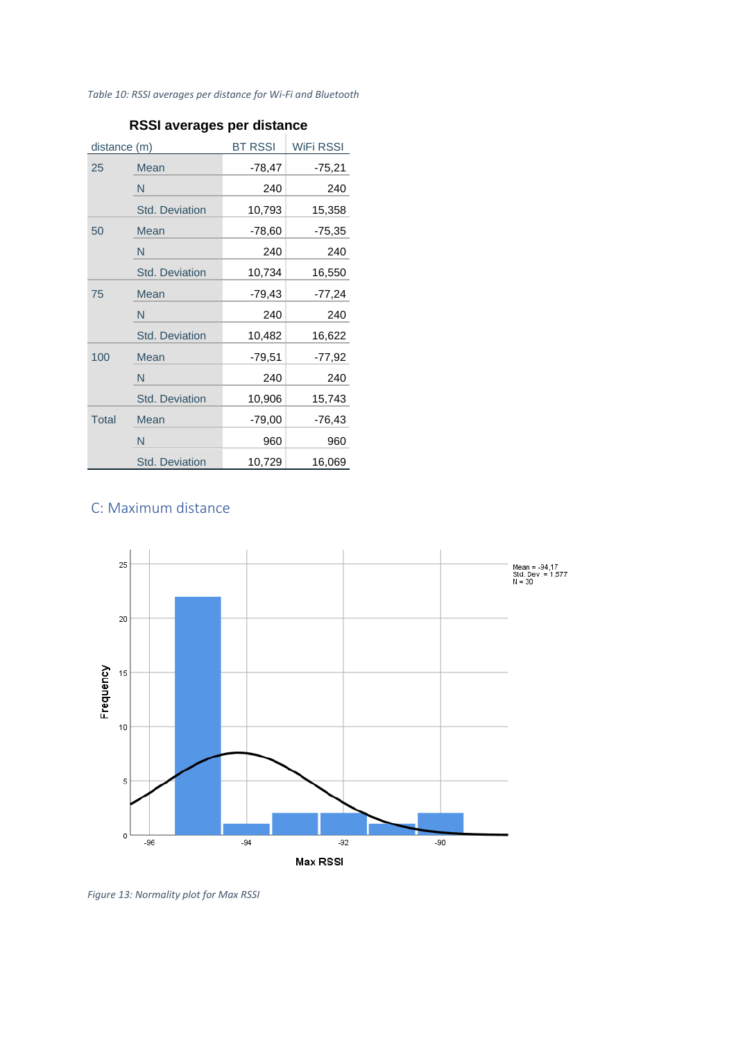*Table 10: RSSI averages per distance for Wi-Fi and Bluetooth*

| distance (m) |                       | <b>BT RSSI</b> | WiFi RSSI |
|--------------|-----------------------|----------------|-----------|
| 25           | Mean                  | $-78,47$       | $-75,21$  |
|              | N                     | 240            | 240       |
|              | <b>Std. Deviation</b> | 10,793         | 15,358    |
| 50           | Mean                  | $-78,60$       | $-75,35$  |
|              | N                     | 240            | 240       |
|              | <b>Std. Deviation</b> | 10,734         | 16,550    |
| 75           | Mean                  | $-79,43$       | $-77,24$  |
|              | N                     | 240            | 240       |
|              | <b>Std. Deviation</b> | 10,482         | 16,622    |
| 100          | Mean                  | $-79.51$       | $-77,92$  |
|              | N                     | 240            | 240       |
|              | <b>Std. Deviation</b> | 10,906         | 15,743    |
| <b>Total</b> | Mean                  | $-79,00$       | -76,43    |
|              | N                     | 960            | 960       |
|              | <b>Std. Deviation</b> | 10,729         | 16,069    |

## **RSSI averages per distance**

# <span id="page-34-0"></span>C: Maximum distance



*Figure 13: Normality plot for Max RSSI*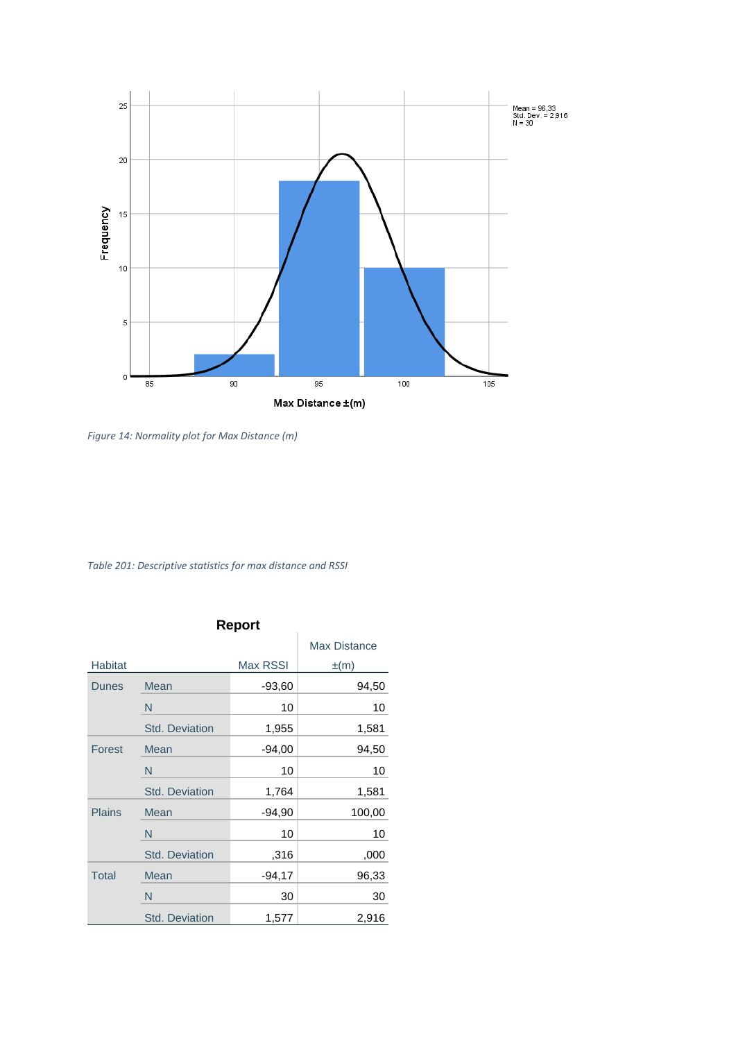

*Figure 14: Normality plot for Max Distance (m)*

*Table 201: Descriptive statistics for max distance and RSSI*

# **Report**

|                |                       | πτρυπ    |                     |
|----------------|-----------------------|----------|---------------------|
|                |                       |          | <b>Max Distance</b> |
| <b>Habitat</b> |                       | Max RSSI | $\pm(m)$            |
| <b>Dunes</b>   | <b>Mean</b>           | $-93,60$ | 94,50               |
|                | N                     | 10       | 10                  |
|                | <b>Std. Deviation</b> | 1,955    | 1,581               |
| <b>Forest</b>  | Mean                  | $-94,00$ | 94,50               |
|                | N                     | 10       | 10                  |
|                | <b>Std. Deviation</b> | 1,764    | 1,581               |
| <b>Plains</b>  | Mean                  | $-94,90$ | 100,00              |
|                | N                     | 10       | 10                  |
|                | <b>Std. Deviation</b> | ,316     | ,000                |
| Total          | Mean                  | $-94,17$ | 96,33               |
|                | N                     | 30       | 30                  |
|                | <b>Std. Deviation</b> | 1,577    | 2,916               |